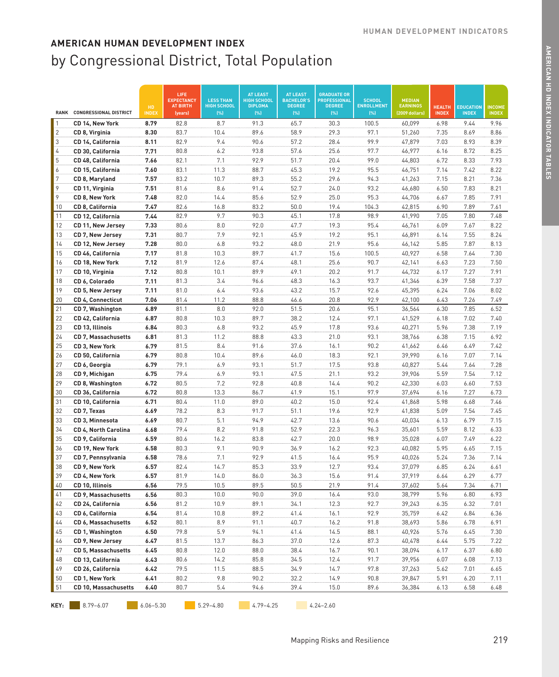|                |                                    |                    | LIFE<br><b>EXPECTANCY</b>  | <b>LESS THAN</b>          | <b>AT LEAST</b><br><b>HIGH SCHOOL</b> | <b>AT LEAST</b><br><b>BACHELOR'S</b> | <b>GRADUATE OR</b><br><b>PROFESSIONAL</b> | <b>SCHOOL</b>            | <b>MEDIAN</b>                     |                               |                                  |                               |
|----------------|------------------------------------|--------------------|----------------------------|---------------------------|---------------------------------------|--------------------------------------|-------------------------------------------|--------------------------|-----------------------------------|-------------------------------|----------------------------------|-------------------------------|
| <b>RANK</b>    | <b>CONGRESSIONAL DISTRICT</b>      | HD<br><b>INDEX</b> | <b>AT BIRTH</b><br>(years) | <b>HIGH SCHOOL</b><br>(%) | <b>DIPLOMA</b><br>(%)                 | <b>DEGREE</b><br>[%]                 | <b>DEGREE</b><br>(% )                     | <b>ENROLLMENT</b><br>[%] | <b>EARNINGS</b><br>(2009 dollars) | <b>HEALTH</b><br><b>INDEX</b> | <b>EDUCATION</b><br><b>INDEX</b> | <b>INCOME</b><br><b>INDEX</b> |
| $\mathbf{1}$   | CD 14, New York                    | 8.79               | 82.8                       | 8.7                       | 91.3                                  | 65.7                                 | 30.3                                      | 100.5                    | 60,099                            | 6.98                          | 9.44                             | 9.96                          |
| $\overline{2}$ | CD 8, Virginia                     | 8.30               | 83.7                       | 10.4                      | 89.6                                  | 58.9                                 | 29.3                                      | 97.1                     | 51,260                            | 7.35                          | 8.69                             | 8.86                          |
| 3              | CD 14, California                  | 8.11               | 82.9                       | 9.4                       | 90.6                                  | 57.2                                 | 28.4                                      | 99.9                     | 47,879                            | 7.03                          | 8.93                             | 8.39                          |
| 4              | CD 30, California                  | 7.71               | 80.8                       | 6.2                       | 93.8                                  | 57.6                                 | 25.6                                      | 97.7                     | 46,977                            | 6.16                          | 8.72                             | 8.25                          |
| 5              | CD 48, California                  | 7.66               | 82.1                       | 7.1                       | 92.9                                  | 51.7                                 | 20.4                                      | 99.0                     | 44,803                            | 6.72                          | 8.33                             | 7.93                          |
| 6              | CD 15, California                  | 7.60               | 83.1                       | 11.3                      | 88.7                                  | 45.3                                 | 19.2                                      | 95.5                     | 46,751                            | 7.14                          | 7.42                             | 8.22                          |
| 7              | CD 8, Maryland                     | 7.57               | 83.2                       | 10.7                      | 89.3                                  | 55.2                                 | 29.6                                      | 94.3                     | 41,263                            | 7.15                          | 8.21                             | 7.36                          |
| 9              | CD 11, Virginia                    | 7.51               | 81.6                       | 8.6                       | 91.4                                  | 52.7                                 | 24.0                                      | 93.2                     | 46,680                            | 6.50                          | 7.83                             | 8.21                          |
| 9              | CD 8, New York                     | 7.48               | 82.0                       | 14.4                      | 85.6                                  | 52.9                                 | 25.0                                      | 95.3                     | 44,706                            | 6.67                          | 7.85                             | 7.91                          |
| 10             | CD 8, California                   | 7.47               | 82.6                       | 16.8                      | 83.2                                  | 50.0                                 | 19.4                                      | 104.3                    | 42,815                            | 6.90                          | 7.89                             | 7.61                          |
| 11             | CD 12, California                  | 7.44               | 82.9                       | 9.7                       | 90.3                                  | 45.1                                 | 17.8                                      | 98.9                     | 41,990                            | 7.05                          | 7.80                             | 7.48                          |
| 12             | CD 11, New Jersey                  | 7.33               | 80.6                       | 8.0                       | 92.0                                  | 47.7                                 | 19.3                                      | 95.4                     | 46,761                            | 6.09                          | 7.67                             | 8.22                          |
| 13             | CD 7, New Jersey                   | 7.31               | 80.7                       | 7.9                       | 92.1                                  | 45.9                                 | 19.2                                      | 95.1                     | 46,891                            | 6.14                          | 7.55                             | 8.24                          |
| 14             | CD 12, New Jersey                  | 7.28               | 80.0                       | 6.8                       | 93.2                                  | 48.0                                 | 21.9                                      | 95.6                     | 46,142                            | 5.85                          | 7.87                             | 8.13                          |
| 15             | CD 46, California                  | 7.17               | 81.8                       | 10.3                      | 89.7                                  | 41.7                                 | 15.6                                      | 100.5                    | 40,927                            | 6.58                          | 7.64                             | 7.30                          |
| 16             | CD 18, New York                    | 7.12               | 81.9                       | 12.6                      | 87.4                                  | 48.1                                 | 25.6                                      | 90.7                     | 42,141                            | 6.63                          | 7.23                             | 7.50                          |
| 17             | CD 10, Virginia                    | 7.12               | 80.8                       | 10.1                      | 89.9                                  | 49.1                                 | 20.2                                      | 91.7                     | 44,732                            | 6.17                          | 7.27                             | 7.91                          |
| 18             | CD 6, Colorado                     | 7.11               | 81.3                       | 3.4                       | 96.6                                  | 48.3                                 | 16.3                                      | 93.7                     | 41,346                            | 6.39                          | 7.58                             | 7.37                          |
| 19             | CD 5, New Jersey                   | 7.11               | 81.0                       | 6.4                       | 93.6                                  | 43.2                                 | 15.7                                      | 92.6                     | 45,395                            | 6.24                          | 7.06                             | 8.02                          |
| 20             | CD 4, Connecticut                  | 7.06               | 81.4                       | 11.2                      | 88.8                                  | 46.6                                 | 20.8                                      | 92.9                     | 42,100                            | 6.43                          | 7.26                             | 7.49                          |
| 21             | CD 7, Washington                   | 6.89               | 81.1                       | 8.0                       | 92.0                                  | 51.5                                 | 20.6                                      | 95.1                     | 36,564                            | 6.30                          | 7.85                             | 6.52                          |
| 22             | CD 42, California                  | 6.87               | 80.8                       | 10.3                      | 89.7                                  | 38.2                                 | 12.4                                      | 97.1                     | 41,529                            | 6.18                          | 7.02                             | 7.40                          |
| 23             | CD 13, Illinois                    | 6.84               | 80.3                       | 6.8                       | 93.2                                  | 45.9                                 | 17.8                                      | 93.6                     | 40,271                            | 5.96                          | 7.38                             | 7.19                          |
| 24             | CD 7, Massachusetts                | 6.81               | 81.3                       | 11.2                      | 88.8                                  | 43.3                                 | 21.0                                      | 93.1                     | 38,766                            | 6.38                          | 7.15                             | 6.92                          |
| 25<br>26       | CD 3, New York                     | 6.79               | 81.5<br>80.8               | 8.4<br>10.4               | 91.6                                  | 37.6                                 | 16.1                                      | 90.2                     | 41,662                            | 6.46                          | 6.49<br>7.07                     | 7.42<br>7.14                  |
| 27             | CD 50, California                  | 6.79<br>6.79       | 79.1                       | 6.9                       | 89.6<br>93.1                          | 46.0<br>51.7                         | 18.3<br>17.5                              | 92.1<br>93.8             | 39,990                            | 6.16<br>5.44                  | 7.64                             | 7.28                          |
| 28             | CD 6, Georgia                      |                    | 79.4                       | 6.9                       | 93.1                                  | 47.5                                 | 21.1                                      | 93.2                     | 40,827<br>39,906                  | 5.59                          | 7.54                             | 7.12                          |
| 29             | CD 9, Michigan<br>CD 8, Washington | 6.75<br>6.72       | 80.5                       | 7.2                       | 92.8                                  | 40.8                                 | 14.4                                      | 90.2                     | 42,330                            | 6.03                          | 6.60                             | 7.53                          |
| 30             | CD 36, California                  | 6.72               | 80.8                       | 13.3                      | 86.7                                  | 41.9                                 | 15.1                                      | 97.9                     | 37,694                            | 6.16                          | 7.27                             | 6.73                          |
| 31             | CD 10, California                  | 6.71               | 80.4                       | 11.0                      | 89.0                                  | 40.2                                 | 15.0                                      | 92.4                     | 41,868                            | 5.98                          | 6.68                             | 7.46                          |
| 32             | CD 7, Texas                        | 6.69               | 78.2                       | 8.3                       | 91.7                                  | 51.1                                 | 19.6                                      | 92.9                     | 41,838                            | 5.09                          | 7.54                             | 7.45                          |
| 33             | CD 3, Minnesota                    | 6.69               | 80.7                       | 5.1                       | 94.9                                  | 42.7                                 | 13.6                                      | 90.6                     | 40,034                            | 6.13                          | 6.79                             | 7.15                          |
| 34             | <b>CD 4, North Carolina</b>        | 6.68               | 79.4                       | 8.2                       | 91.8                                  | 52.9                                 | 22.3                                      | 96.3                     | 35,601                            | 5.59                          | 8.12                             | 6.33                          |
| 35             | CD 9, California                   | 6.59               | 80.6                       | 16.2                      | 83.8                                  | 42.7                                 | 20.0                                      | 98.9                     | 35,028                            | 6.07                          | 7.49                             | 6.22                          |
| 36             | CD 19, New York                    | 6.58               | 80.3                       | 9.1                       | 90.9                                  | 36.9                                 | 16.2                                      | 92.3                     | 40,082                            | 5.95                          | 6.65                             | 7.15                          |
| 37             | CD 7, Pennsylvania                 | 6.58               | 78.6                       | 7.1                       | 92.9                                  | 41.5                                 | 16.4                                      | 95.9                     | 40,026                            | 5.24                          | 7.36                             | 7.14                          |
| 38             | CD 9, New York                     | 6.57               | 82.4                       | 14.7                      | 85.3                                  | 33.9                                 | 12.7                                      | 93.4                     | 37,079                            | 6.85                          | 6.24                             | 6.61                          |
| 39             | CD 4, New York                     | 6.57               | 81.9                       | 14.0                      | 86.0                                  | 36.3                                 | 15.6                                      | 91.4                     | 37,919                            | 6.64                          | 6.29                             | 6.77                          |
| 40             | CD 10, Illinois                    | 6.56               | 79.5                       | 10.5                      | 89.5                                  | 50.5                                 | 21.9                                      | 91.4                     | 37,602                            | 5.64                          | 7.34                             | 6.71                          |
| 41             | CD 9, Massachusetts                | 6.56               | 80.3                       | 10.0                      | 90.0                                  | 39.0                                 | 16.4                                      | 93.0                     | 38,799                            | 5.96                          | 6.80                             | 6.93                          |
| 42             | CD 24, California                  | 6.56               | 81.2                       | 10.9                      | 89.1                                  | 34.1                                 | 12.3                                      | 92.7                     | 39,243                            | 6.35                          | 6.32                             | 7.01                          |
| 43             | CD 6, California                   | 6.54               | 81.4                       | 10.8                      | 89.2                                  | 41.4                                 | 16.1                                      | 92.9                     | 35,759                            | 6.42                          | 6.84                             | 6.36                          |
| 44             | CD 6, Massachusetts                | 6.52               | 80.1                       | 8.9                       | 91.1                                  | 40.7                                 | 16.2                                      | 91.8                     | 38,693                            | 5.86                          | 6.78                             | 6.91                          |
| 45             | CD 1, Washington                   | 6.50               | 79.8                       | 5.9                       | 94.1                                  | 41.4                                 | 14.5                                      | 88.1                     | 40,926                            | 5.76                          | 6.45                             | 7.30                          |
| 46             | CD 9, New Jersey                   | 6.47               | 81.5                       | 13.7                      | 86.3                                  | 37.0                                 | 12.6                                      | 87.3                     | 40,478                            | 6.44                          | 5.75                             | 7.22                          |
| 47             | CD 5, Massachusetts                | 6.45               | 80.8                       | 12.0                      | 88.0                                  | 38.4                                 | 16.7                                      | 90.1                     | 38,094                            | 6.17                          | 6.37                             | 6.80                          |
| 48             | CD 13, California                  | 6.43               | 80.6                       | 14.2                      | 85.8                                  | 34.5                                 | 12.4                                      | 91.7                     | 39,956                            | 6.07                          | 6.08                             | 7.13                          |
| 49             | CD 26, California                  | 6.42               | 79.5                       | 11.5                      | 88.5                                  | 34.9                                 | 14.7                                      | 97.8                     | 37,263                            | 5.62                          | 7.01                             | 6.65                          |
| 50             | CD 1, New York                     | 6.41               | 80.2                       | 9.8                       | 90.2                                  | 32.2                                 | 14.9                                      | 90.8                     | 39,847                            | 5.91                          | 6.20                             | 7.11                          |
| 51             | CD 10, Massachusetts               | 6.40               | 80.7                       | 5.4                       | 94.6                                  | 39.4                                 | 15.0                                      | 89.6                     | 36,384                            | 6.13                          | 6.58                             | 6.48                          |
| KEY:           | $8.79 - 6.07$                      | $6.06 - 5.30$      |                            | $5.29 - 4.80$             | $4.79 - 4.25$                         |                                      | $4.24 - 2.60$                             |                          |                                   |                               |                                  |                               |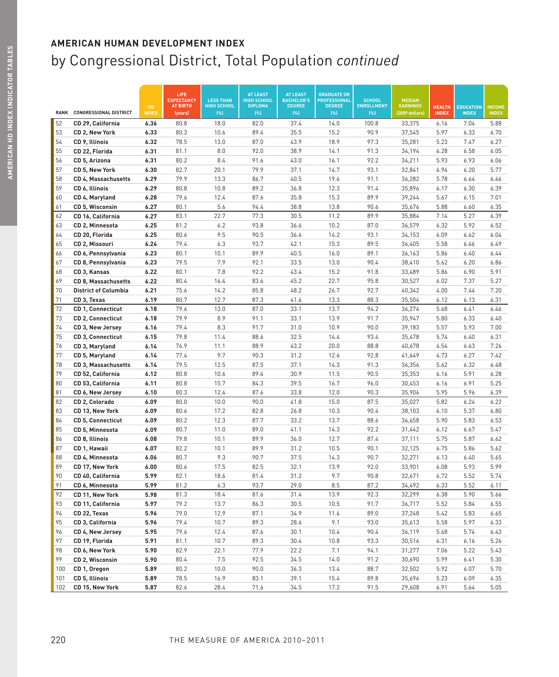|             |                               |                    | LIFE<br><b>EXPECTANCY</b>  | <b>LESS THAN</b>           | <b>AT LEAST</b><br><b>HIGH SCHOOL</b> | <b>AT LEAST</b><br><b>BACHELOR'S</b> | <b>GRADUATE OR</b><br><b>PROFESSIONAL</b> | <b>SCHOOL</b>             | <b>MEDIAN</b>                     |                               |                                  |                               |
|-------------|-------------------------------|--------------------|----------------------------|----------------------------|---------------------------------------|--------------------------------------|-------------------------------------------|---------------------------|-----------------------------------|-------------------------------|----------------------------------|-------------------------------|
| <b>RANK</b> | <b>CONGRESSIONAL DISTRICT</b> | HD<br><b>INDEX</b> | <b>AT BIRTH</b><br>(years) | <b>HIGH SCHOOL</b><br>(% ) | <b>DIPLOMA</b><br>(% )                | <b>DEGREE</b><br>(%)                 | <b>DEGREE</b><br>(% )                     | <b>ENROLLMENT</b><br>(% ) | <b>EARNINGS</b><br>(2009 dollars) | <b>HEALTH</b><br><b>INDEX</b> | <b>EDUCATION</b><br><b>INDEX</b> | <b>INCOME</b><br><b>INDEX</b> |
| 52          | CD 29, California             | 6.36               | 80.8                       | 18.0                       | 82.0                                  | 37.4                                 | 14.0                                      | 100.8                     | 33,375                            | 6.16                          | 7.04                             | 5.88                          |
| 53          | CD 2, New York                | 6.33               | 80.3                       | 10.6                       | 89.4                                  | 35.5                                 | 15.2                                      | 90.9                      | 37,545                            | 5.97                          | 6.33                             | 6.70                          |
| 54          | CD 9, Illinois                | 6.32               | 78.5                       | 13.0                       | 87.0                                  | 43.9                                 | 18.9                                      | 97.3                      | 35,281                            | 5.23                          | 7.47                             | 6.27                          |
| 55          | CD 22, Florida                | 6.31               | 81.1                       | 8.0                        | 92.0                                  | 38.9                                 | 14.1                                      | 91.3                      | 34,194                            | 6.28                          | 6.58                             | 6.05                          |
| 56          | CD 5, Arizona                 | 6.31               | 80.2                       | 8.4                        | 91.6                                  | 43.0                                 | 16.1                                      | 92.2                      | 34,211                            | 5.93                          | 6.93                             | 6.06                          |
| 57          | CD 5, New York                | 6.30               | 82.7                       | 20.1                       | 79.9                                  | 37.1                                 | 14.7                                      | 93.1                      | 32,841                            | 6.94                          | 6.20                             | 5.77                          |
| 58          | <b>CD 4, Massachusetts</b>    | 6.29               | 79.9                       | 13.3                       | 86.7                                  | 40.5                                 | 19.6                                      | 91.1                      | 36,282                            | 5.78                          | 6.64                             | 6.46                          |
| 59          | CD 6, Illinois                | 6.29               | 80.8                       | 10.8                       | 89.2                                  | 36.8                                 | 12.3                                      | 91.4                      | 35,896                            | 6.17                          | 6.30                             | 6.39                          |
| 60          | CD 4, Maryland                | 6.28               | 79.6                       | 12.4                       | 87.6                                  | 35.8                                 | 15.3                                      | 89.9                      | 39,244                            | 5.67                          | 6.15                             | 7.01                          |
| 61          | CD 5, Wisconsin               | 6.27               | 80.1                       | 5.6                        | 94.4                                  | 38.8                                 | 13.8                                      | 90.6                      | 35,676                            | 5.88                          | 6.60                             | 6.35                          |
| 62          | CD 16, California             | 6.27               | 83.1                       | 22.7                       | 77.3                                  | 30.5                                 | 11.2                                      | 89.9                      | 35,884                            | 7.14                          | 5.27                             | 6.39                          |
| 63          | CD 2, Minnesota               | 6.25               | 81.2                       | 6.2                        | 93.8                                  | 36.6                                 | 10.2                                      | 87.0                      | 36,579                            | 6.32                          | 5.92                             | 6.52                          |
| 64          | CD 20, Florida                | 6.25               | 80.6                       | 9.5                        | 90.5                                  | 36.6                                 | 14.2                                      | 93.1                      | 34,153                            | 6.09                          | 6.62                             | 6.04                          |
| 65          | CD 2, Missouri                | 6.24               | 79.4                       | 6.3                        | 93.7                                  | 42.1                                 | 15.3                                      | 89.5                      | 36,405                            | 5.58                          | 6.66                             | 6.49                          |
| 66          | CD 6, Pennsylvania            | 6.23               | 80.1                       | 10.1                       | 89.9                                  | 40.5                                 | 16.0                                      | 89.1                      | 36,163                            | 5.86                          | 6.40                             | 6.44                          |
| 67          | CD 8, Pennsylvania            | 6.23               | 79.5                       | 7.9                        | 92.1                                  | 33.5                                 | 13.0                                      | 90.4                      | 38,410                            | 5.62                          | 6.20                             | 6.86                          |
| 68          | CD 3, Kansas                  | 6.22               | 80.1                       | 7.8                        | 92.2                                  | 43.4                                 | 15.2                                      | 91.8                      | 33,489                            | 5.86                          | 6.90                             | 5.91                          |
| 69          | <b>CD 8, Massachusetts</b>    | 6.22               | 80.4                       | 16.4                       | 83.6                                  | 45.2                                 | 22.7                                      | 95.8                      | 30,527                            | 6.02                          | 7.37                             | 5.27                          |
| 70          | <b>District of Columbia</b>   | 6.21               | 75.6                       | 14.2                       | 85.8                                  | 48.2                                 | 26.7                                      | 92.7                      | 40,342                            | 4.00                          | 7.44                             | 7.20                          |
| 71          | CD 3, Texas                   | 6.19               | 80.7                       | 12.7                       | 87.3                                  | 41.6                                 | 13.3                                      | 88.3                      | 35,504                            | 6.12                          | 6.13                             | 6.31                          |
| 72          | CD 1, Connecticut             | 6.18               | 79.6                       | 13.0                       | 87.0                                  | 33.1                                 | 13.7                                      | 94.2                      | 36,274                            | 5.68                          | 6.41                             | 6.46                          |
| 73          | CD 2, Connecticut             | 6.18               | 79.9                       | 8.9                        | 91.1                                  | 33.1                                 | 13.9                                      | 91.7                      | 35,947                            | 5.80                          | 6.33                             | 6.40                          |
| 74          | CD 3, New Jersey              | 6.16               | 79.4                       | 8.3                        | 91.7                                  | 31.0                                 | 10.9                                      | 90.0                      | 39,183                            | 5.57                          | 5.93                             | 7.00                          |
| 75          | CD 3, Connecticut             | 6.15               | 79.8                       | 11.4                       | 88.6                                  | 32.5                                 | 14.4                                      | 93.4                      | 35,478                            | 5.74                          | 6.40                             | 6.31                          |
| 76          | CD 3, Maryland                | 6.14               | 76.9                       | 11.1                       | 88.9                                  | 43.2                                 | 20.0                                      | 88.8                      | 40,678                            | 4.54                          | 6.63                             | 7.26                          |
| 77          | CD 5, Maryland                | 6.14               | 77.4                       | 9.7                        | 90.3                                  | 31.2                                 | 12.6                                      | 92.8                      | 41,649                            | 4.73                          | 6.27                             | 7.42                          |
| 78          | CD 3, Massachusetts           | 6.14               | 79.5                       | 12.5                       | 87.5                                  | 37.1                                 | 14.3                                      | 91.3                      | 36,356                            | 5.62                          | 6.32                             | 6.48                          |
| 79          | CD 52, California             | 6.12               | 80.8                       | 10.6                       | 89.4                                  | 30.9                                 | 11.5                                      | 90.5                      | 35,353                            | 6.16                          | 5.91                             | 6.28                          |
| 80          | CD 53, California             | 6.11               | 80.8                       | 15.7                       | 84.3                                  | 39.5                                 | 16.7                                      | 96.0                      | 30,453                            | 6.16                          | 6.91                             | 5.25                          |
| 81          | CD 6, New Jersey              | 6.10               | 80.3                       | 12.4                       | 87.6                                  | 33.8                                 | 12.0                                      | 90.3                      | 35,906                            | 5.95                          | 5.96                             | 6.39                          |
| 82          | CD 2, Colorado                | 6.09               | 80.0                       | 10.0                       | 90.0                                  | 41.8                                 | 15.0                                      | 87.5                      | 35,027                            | 5.82                          | 6.24                             | 6.22                          |
| 83          | CD 13, New York               | 6.09               | 80.6                       | 17.2                       | 82.8                                  | 26.8                                 | 10.3                                      | 90.4                      | 38,103                            | 6.10                          | 5.37                             | 6.80                          |
| 84          | CD 5, Connecticut             | 6.09               | 80.2                       | 12.3                       | 87.7                                  | 33.2                                 | 13.7                                      | 88.6                      | 36,658                            | 5.90                          | 5.83                             | 6.53                          |
| 85          | CD 5, Minnesota               | 6.09               | 80.7                       | 11.0                       | 89.0                                  | 41.1                                 | 14.3                                      | 92.2                      | 31,442                            | 6.12                          | 6.67                             | 5.47                          |
| 86          | CD 8, Illinois                | 6.08               | 79.8                       | 10.1                       | 89.9                                  | 36.0                                 | 12.7                                      | 87.4                      | 37,111                            | 5.75                          | 5.87                             | 6.62                          |
| 87          | CD 1, Hawaii                  | 6.07               | 82.2                       | 10.1                       | 89.9                                  | 31.2                                 | 10.5                                      | 90.1                      | 32,125                            | 6.75                          | 5.86                             | 5.62                          |
| 88          | CD 4, Minnesota               | 6.06               | 80.7                       | 9.3                        | 90.7                                  | 37.5                                 | 14.3                                      | 90.7                      | 32,271                            | 6.13                          | 6.40                             | 5.65                          |
| 89          | CD 17, New York               | 6.00               | 80.6                       | 17.5                       | 82.5                                  | 32.1                                 | 13.9                                      | 92.0                      | 33,901                            | 6.08                          | 5.93                             | 5.99                          |
| 90          | CD 40, California             | 5.99               | 82.1                       | 18.6                       | 81.4                                  | 31.2                                 | 9.7                                       | 90.8                      | 32,671                            | 6.72                          | 5.52                             | 5.74                          |
| 91          | CD 6, Minnesota               | 5.99               | 81.2                       | 6.3                        | 93.7                                  | 29.0                                 | 8.5                                       | 87.2                      | 34,492                            | 6.33                          | 5.52                             | 6.11                          |
| 92          | CD 11, New York               | 5.98               | 81.3                       | 18.4                       | 81.6                                  | 31.4                                 | 13.9                                      | 92.3                      | 32,299                            | 6.38                          | 5.90                             | 5.66                          |
| 93          | CD 11, California             | 5.97               | 79.2                       | 13.7                       | 86.3                                  | 30.5                                 | 10.5                                      | 91.7                      | 36,717                            | 5.52                          | 5.84                             | 6.55                          |
| 94          | CD 22, Texas                  | 5.96               | 79.0                       | 12.9                       | 87.1                                  | 34.9                                 | 11.6                                      | 89.0                      | 37,248                            | 5.42                          | 5.83                             | 6.65                          |
| 95          | CD 3, California              | 5.96               | 79.4                       | 10.7                       | 89.3                                  | 28.6                                 | 9.1                                       | 93.0                      | 35,613                            | 5.58                          | 5.97                             | 6.33                          |
| 96          | CD 4, New Jersey              | 5.95               | 79.6                       | 12.4                       | 87.6                                  | 30.1                                 | 10.4                                      | 90.4                      | 36,119                            | 5.68                          | 5.74                             | 6.43                          |
| 97          | CD 19, Florida                | 5.91               | 81.1                       | 10.7                       | 89.3                                  | 30.4                                 | 10.8                                      | 93.3                      | 30,516                            | 6.31                          | 6.16                             | 5.26                          |
| 98          | CD 6, New York                | 5.90               | 82.9                       | 22.1                       | 77.9                                  | 22.2                                 | 7.1                                       | 94.1                      | 31,277                            | 7.06                          | 5.22                             | 5.43                          |
| 99          | CD 2, Wisconsin               | 5.90               | 80.4                       | 7.5                        | 92.5                                  | 34.5                                 | 14.0                                      | 91.2                      | 30,690                            | 5.99                          | 6.41                             | 5.30                          |
| 100         | CD 1, Oregon                  | 5.89               | 80.2                       | 10.0                       | 90.0                                  | 36.3                                 | 13.4                                      | 88.7                      | 32,502                            | 5.92                          | 6.07                             | 5.70                          |
| 101         | CD 5, Illinois                | 5.89               | 78.5                       | 16.9                       | 83.1                                  | 39.1                                 | 15.4                                      | 89.8                      | 35,696                            | 5.23                          | 6.09                             | 6.35                          |
| 102         | CD 15, New York               | 5.87               | 82.6                       | 28.4                       | 71.6                                  | 34.5                                 | 17.2                                      | 91.5                      | 29,608                            | 6.91                          | 5.64                             | 5.05                          |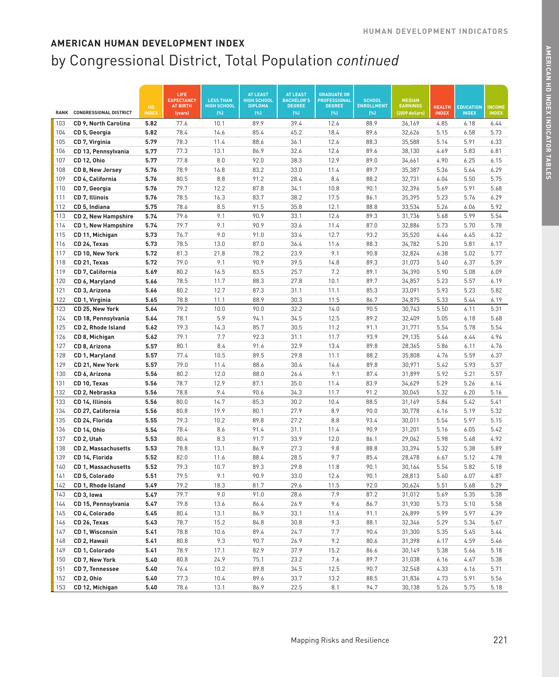|             |                                  |                    | LIFE<br><b>EXPECTANCY</b>  | <b>LESS THAN</b>           | <b>AT LEAST</b><br><b>HIGH SCHOOL</b> | <b>AT LEAST</b><br><b>BACHELOR'S</b> | <b>GRADUATE OR</b><br><b>PROFESSIONAL</b> | <b>SCHOOL</b>            | <b>MEDIAN</b>                     |                               |                                  |                               |
|-------------|----------------------------------|--------------------|----------------------------|----------------------------|---------------------------------------|--------------------------------------|-------------------------------------------|--------------------------|-----------------------------------|-------------------------------|----------------------------------|-------------------------------|
| <b>RANK</b> | <b>CONGRESSIONAL DISTRICT</b>    | HD<br><b>INDEX</b> | <b>AT BIRTH</b><br>(years) | <b>HIGH SCHOOL</b><br>(% ) | <b>DIPLOMA</b><br>[%]                 | <b>DEGREE</b><br>[%]                 | <b>DEGREE</b><br>[%]                      | <b>ENROLLMENT</b><br>(%) | <b>EARNINGS</b><br>(2009 dollars) | <b>HEALTH</b><br><b>INDEX</b> | <b>EDUCATION</b><br><b>INDEX</b> | <b>INCOME</b><br><b>INDEX</b> |
| 103         | CD 9, North Carolina             | 5.82               | 77.6                       | 10.1                       | 89.9                                  | 39.4                                 | 12.6                                      | 88.9                     | 36,169                            | 4.85                          | 6.18                             | 6.44                          |
| 104         | CD 5, Georgia                    | 5.82               | 78.4                       | 14.6                       | 85.4                                  | 45.2                                 | 18.4                                      | 89.6                     | 32,626                            | 5.15                          | 6.58                             | 5.73                          |
| 105         | CD 7, Virginia                   | 5.79               | 78.3                       | 11.4                       | 88.6                                  | 36.1                                 | 12.6                                      | 88.3                     | 35,588                            | 5.14                          | 5.91                             | 6.33                          |
| 106         | CD 13, Pennsylvania              | 5.77               | 77.3                       | 13.1                       | 86.9                                  | 32.6                                 | 12.6                                      | 89.6                     | 38,130                            | 4.69                          | 5.83                             | 6.81                          |
| 107         | CD 12, Ohio                      | 5.77               | 77.8                       | 8.0                        | 92.0                                  | 38.3                                 | 12.9                                      | 89.0                     | 34,661                            | 4.90                          | 6.25                             | 6.15                          |
| 108         | CD 8, New Jersey                 | 5.76               | 78.9                       | 16.8                       | 83.2                                  | 33.0                                 | 11.4                                      | 89.7                     | 35,387                            | 5.36                          | 5.64                             | 6.29                          |
| 109         | CD 4, California                 | 5.76               | 80.5                       | 8.8                        | 91.2                                  | 28.4                                 | 8.4                                       | 88.2                     | 32,731                            | 6.04                          | 5.50                             | 5.75                          |
| 110         | CD 7, Georgia                    | 5.76               | 79.7                       | 12.2                       | 87.8                                  | 34.1                                 | 10.8                                      | 90.1                     | 32,396                            | 5.69                          | 5.91                             | 5.68                          |
| 111         | CD 7, Illinois                   | 5.76               | 78.5                       | 16.3                       | 83.7                                  | 38.2                                 | 17.5                                      | 86.1                     | 35,395                            | 5.23                          | 5.76                             | 6.29                          |
| 112         | CD 5, Indiana                    | 5.75               | 78.6                       | 8.5                        | 91.5                                  | 35.8                                 | 12.1                                      | 88.8                     | 33,534                            | 5.26                          | 6.06                             | 5.92                          |
| 113         | <b>CD 2, New Hampshire</b>       | 5.74               | 79.6                       | 9.1                        | 90.9                                  | 33.1                                 | 12.6                                      | 89.3                     | 31,736                            | 5.68                          | 5.99                             | 5.54                          |
| 114         | <b>CD 1, New Hampshire</b>       | 5.74               | 79.7                       | 9.1                        | 90.9                                  | 33.6                                 | 11.4                                      | 87.0                     | 32,886                            | 5.73                          | 5.70                             | 5.78                          |
| 115         | CD 11, Michigan                  | 5.73               | 76.7                       | 9.0                        | 91.0                                  | 33.4                                 | 12.7                                      | 93.2                     | 35,520                            | 4.44                          | 6.45                             | 6.32                          |
| 116         | CD 24, Texas                     | 5.73               | 78.5                       | 13.0                       | 87.0                                  | 36.4                                 | 11.6                                      | 88.3                     | 34,782                            | 5.20                          | 5.81                             | 6.17                          |
| 117         | CD 10, New York                  | 5.72               | 81.3                       | 21.8                       | 78.2                                  | 23.9                                 | 9.1                                       | 90.8                     | 32,824                            | 6.38                          | 5.02                             | 5.77                          |
| 118         | CD 21, Texas                     | 5.72               | 79.0                       | 9.1                        | 90.9                                  | 39.5                                 | 14.8                                      | 89.3                     | 31,073                            | 5.40                          | 6.37                             | 5.39                          |
| 119         | CD 7, California                 | 5.69               | 80.2                       | 16.5                       | 83.5                                  | 25.7                                 | 7.2                                       | 89.1                     | 34,390                            | 5.90                          | 5.08                             | 6.09                          |
| 120         | CD 6, Maryland                   | 5.66               | 78.5                       | 11.7                       | 88.3                                  | 27.8                                 | 10.1                                      | 89.7                     | 34,857                            | 5.23                          | 5.57                             | 6.19                          |
| 121         | CD 3, Arizona                    | 5.66               | 80.2                       | 12.7                       | 87.3                                  | 31.1                                 | 11.1                                      | 85.3                     | 33,091                            | 5.93                          | 5.23                             | 5.82                          |
| 122         | CD 1, Virginia                   | 5.65               | 78.8                       | 11.1                       | 88.9                                  | 30.3                                 | 11.5                                      | 86.7                     | 34,875                            | 5.33                          | 5.44                             | 6.19                          |
| 123         | CD 25, New York                  | 5.64               | 79.2                       | 10.0                       | 90.0                                  | 32.2                                 | 14.0                                      | 90.5                     | 30.743                            | 5.50                          | 6.11                             | 5.31                          |
| 124         | CD 18, Pennsylvania              | 5.64               | 78.1                       | 5.9                        | 94.1                                  | 34.5                                 | 12.5                                      | 89.2                     | 32,409                            | 5.05                          | 6.18                             | 5.68                          |
| 125         | CD 2, Rhode Island               | 5.62               | 79.3                       | 14.3                       | 85.7                                  | 30.5                                 | 11.2                                      | 91.1                     | 31,771                            | 5.54                          | 5.78                             | 5.54                          |
| 126         | CD 8, Michigan                   | 5.62               | 79.1                       | 7.7                        | 92.3                                  | 31.1                                 | 11.7                                      | 93.9                     | 29,135                            | 5.46                          | 6.44                             | 4.94                          |
| 127         | CD 8, Arizona                    | 5.57               | 80.1                       | 8.4                        | 91.6                                  | 32.9                                 | 13.4                                      | 89.8                     | 28,365                            | 5.86                          | 6.11                             | 4.76                          |
| 128         | CD 1, Maryland                   | 5.57               | 77.4                       | 10.5                       | 89.5                                  | 29.8                                 | 11.1                                      | 88.2                     | 35,808                            | 4.76                          | 5.59                             | 6.37                          |
| 129         | CD 21, New York                  | 5.57               | 79.0                       | 11.4                       | 88.6                                  | 30.6                                 | 14.6                                      | 89.8                     | 30,971                            | 5.42                          | 5.93                             | 5.37                          |
| 130         | CD 6, Arizona                    | 5.56               | 80.2                       | 12.0                       | 88.0                                  | 26.4                                 | 9.1                                       | 87.4                     | 31,899                            | 5.92                          | 5.21                             | 5.57                          |
| 131         | CD 10, Texas                     | 5.56               | 78.7                       | 12.9                       | 87.1                                  | 35.0                                 | 11.4                                      | 83.9                     | 34,629                            | 5.29                          | 5.26                             | 6.14                          |
| 132         | CD 2, Nebraska                   | 5.56               | 78.8                       | 9.4                        | 90.6                                  | 34.3                                 | 11.7                                      | 91.2                     | 30,045                            | 5.32                          | 6.20                             | 5.16                          |
| 133         | CD 14, Illinois                  | 5.56               | 80.0                       | 14.7                       | 85.3                                  | 30.2                                 | 10.4                                      | 88.5                     | 31,169                            | 5.84                          | 5.42                             | 5.41                          |
| 134         | CD 27, California                | 5.56               | 80.8                       | 19.9                       | 80.1                                  | 27.9                                 | 8.9                                       | 90.0                     | 30,778                            | 6.16                          | 5.19                             | 5.32                          |
| 135         | CD 24, Florida                   | 5.55               | 79.3                       | 10.2                       | 89.8                                  | 27.2                                 | 8.8                                       | 93.4                     | 30,011                            | 5.54                          | 5.97                             | 5.15                          |
| 136         | CD 14, Ohio                      | 5.54               | 78.4                       | 8.6                        | 91.4                                  | 31.1                                 | 11.4                                      | 90.9                     | 31,201                            | 5.16                          | 6.05                             | 5.42                          |
| 137         | CD 2, Utah                       | 5.53               | 80.4                       | 8.3                        | 91.7                                  | 33.9                                 | 12.0                                      | 86.1                     | 29,062                            | 5.98                          | 5.68                             | 4.92                          |
| 138         | <b>CD 2, Massachusetts</b>       | 5.53               | 78.8                       | 13.1                       | 86.9                                  | 27.3                                 | 9.8                                       | 88.8                     | 33,394                            | 5.32                          | 5.38                             | 5.89                          |
| 139         | CD 14. Florida                   | 5.52               | 82.0                       | 11.6                       | 88.4                                  | 28.5                                 | 9.7                                       | 85.4                     | 28,478                            | 6.67                          | 5.12                             | 4.78                          |
| 140         | <b>CD 1, Massachusetts</b>       | 5.52               | 79.3                       | 10.7                       | 89.3                                  | 29.8                                 | 11.8                                      | 90.1                     | 30,164                            | 5.54                          | 5.82                             | 5.18                          |
| 141         | CD 5, Colorado                   | 5.51               | 79.5<br>79.2               | 9.1<br>18.3                | 90.9                                  | 33.0<br>29.6                         | 12.6                                      | 90.1<br>92.0             | 28,813                            | 5.60                          | 6.07                             | 4.87                          |
| 142<br>143  | CD 1, Rhode Island<br>CD 3, lowa | 5.49<br>5.47       | 79.7                       | 9.0                        | 81.7<br>91.0                          | 28.6                                 | 11.5<br>7.9                               | 87.2                     | 30,624<br>31,012                  | 5.51<br>5.69                  | 5.68<br>5.35                     | 5.29<br>5.38                  |
| 144         | CD 15, Pennsylvania              | 5.47               | 79.8                       | 13.6                       | 86.4                                  | 26.9                                 | 9.6                                       | 86.7                     | 31,930                            | 5.73                          | 5.10                             | 5.58                          |
| 145         | CD 4, Colorado                   | 5.45               | 80.4                       | 13.1                       | 86.9                                  | 33.1                                 | 11.6                                      | 91.1                     | 26,899                            | 5.99                          | 5.97                             | 4.39                          |
| 146         | CD 26, Texas                     | 5.43               | 78.7                       | 15.2                       | 84.8                                  | 30.8                                 | 9.3                                       | 88.1                     | 32,346                            | 5.29                          | 5.34                             | 5.67                          |
| 147         | CD 1, Wisconsin                  | 5.41               | 78.8                       | 10.6                       | 89.4                                  | 24.7                                 | 7.7                                       | 90.4                     | 31,300                            |                               | 5.45                             | 5.44                          |
| 148         | CD 2, Hawaii                     | 5.41               | 80.8                       | 9.3                        | 90.7                                  | 26.9                                 | 9.2                                       | 80.6                     | 31,398                            | 5.35<br>6.17                  | 4.59                             | 5.46                          |
| 149         | CD 1, Colorado                   | 5.41               | 78.9                       | 17.1                       | 82.9                                  | 37.9                                 | 15.2                                      | 86.6                     | 30,149                            | 5.38                          | 5.66                             | 5.18                          |
| 150         | CD 7, New York                   | 5.40               | 80.8                       | 24.9                       | 75.1                                  | 23.2                                 | 7.6                                       | 89.7                     | 31,038                            | 6.16                          | 4.67                             | 5.38                          |
| 151         | CD 7, Tennessee                  | 5.40               | 76.4                       | 10.2                       | 89.8                                  | 34.5                                 | 12.5                                      | 90.7                     | 32,548                            | 4.33                          | 6.16                             | 5.71                          |
| 152         | CD 2, Ohio                       | 5.40               | 77.3                       | 10.4                       | 89.6                                  | 33.7                                 | 13.2                                      | 88.5                     | 31,836                            | 4.73                          | 5.91                             | 5.56                          |
| 153         | CD 12, Michigan                  | 5.40               | 78.6                       | 13.1                       | 86.9                                  | 22.5                                 | 8.1                                       | 94.7                     | 30,138                            | 5.26                          | 5.75                             | 5.18                          |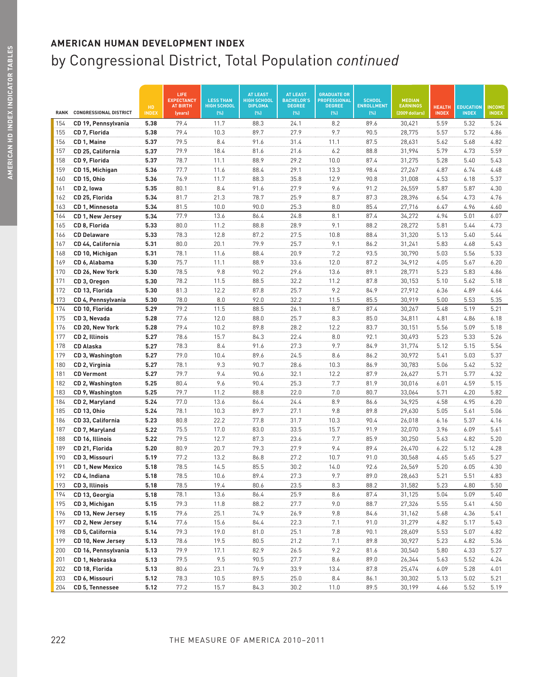|             |                                  |              | LIFE<br><b>EXPECTANCY</b><br><b>AT BIRTH</b> | <b>LESS THAN</b><br><b>HIGH SCHOOL</b> | <b>AT LEAST</b><br><b>HIGH SCHOOL</b><br><b>DIPLOMA</b> | <b>AT LEAST</b><br><b>BACHELOR'S</b><br><b>DEGREE</b> | <b>GRADUATE OR</b><br><b>PROFESSIONAL</b><br><b>DEGREE</b> | <b>SCHOOL</b><br><b>ENROLLMENT</b> | <b>MEDIAN</b><br><b>EARNINGS</b> |                               |                                  |                               |
|-------------|----------------------------------|--------------|----------------------------------------------|----------------------------------------|---------------------------------------------------------|-------------------------------------------------------|------------------------------------------------------------|------------------------------------|----------------------------------|-------------------------------|----------------------------------|-------------------------------|
| <b>RANK</b> | <b>CONGRESSIONAL DISTRICT</b>    | HD<br>INDE)  | (years)                                      | (%)                                    | (% )                                                    | (%)                                                   | (%)                                                        | (% )                               | (2009 dollars)                   | <b>HEALTH</b><br><b>INDEX</b> | <b>EDUCATION</b><br><b>INDEX</b> | <b>INCOME</b><br><b>INDEX</b> |
| 154         | CD 19, Pennsylvania              | 5.38         | 79.4                                         | 11.7                                   | 88.3                                                    | 24.1                                                  | 8.2                                                        | 89.6                               | 30,421                           | 5.59                          | 5.32                             | 5.24                          |
| 155         | CD 7, Florida                    | 5.38         | 79.4                                         | 10.3                                   | 89.7                                                    | 27.9                                                  | 9.7                                                        | 90.5                               | 28,775                           | 5.57                          | 5.72                             | 4.86                          |
| 156         | CD 1, Maine                      | 5.37         | 79.5                                         | 8.4                                    | 91.6                                                    | 31.4                                                  | 11.1                                                       | 87.5                               | 28,631                           | 5.62                          | 5.68                             | 4.82                          |
| 157         | CD 25, California                | 5.37         | 79.9                                         | 18.4                                   | 81.6                                                    | 21.6                                                  | 6.2                                                        | 88.8                               | 31,994                           | 5.79                          | 4.73                             | 5.59                          |
| 158         | CD 9, Florida                    | 5.37         | 78.7                                         | 11.1                                   | 88.9                                                    | 29.2                                                  | 10.0                                                       | 87.4                               | 31,275                           | 5.28                          | 5.40                             | 5.43                          |
| 159         | CD 15, Michigan                  | 5.36         | 77.7                                         | 11.6                                   | 88.4                                                    | 29.1                                                  | 13.3                                                       | 98.4                               | 27,267                           | 4.87                          | 6.74                             | 4.48                          |
| 160         | CD 15, Ohio                      | 5.36         | 76.9                                         | 11.7                                   | 88.3                                                    | 35.8                                                  | 12.9                                                       | 90.8                               | 31,008                           | 4.53                          | 6.18                             | 5.37                          |
| 161         | CD <sub>2</sub> , lowa           | 5.35         | 80.1                                         | 8.4                                    | 91.6                                                    | 27.9                                                  | 9.6                                                        | 91.2                               | 26,559                           | 5.87                          | 5.87                             | 4.30                          |
| 162         | CD 25, Florida                   | 5.34         | 81.7                                         | 21.3                                   | 78.7                                                    | 25.9                                                  | 8.7                                                        | 87.3                               | 28,396                           | 6.54                          | 4.73                             | 4.76                          |
| 163         | CD 1, Minnesota                  | 5.34         | 81.5                                         | 10.0                                   | 90.0                                                    | 25.3                                                  | 8.0                                                        | 85.4                               | 27,716                           | 6.47                          | 4.96                             | 4.60                          |
| 164         | CD 1, New Jersey                 | 5.34         | 77.9                                         | 13.6                                   | 86.4                                                    | 24.8                                                  | 8.1                                                        | 87.4                               | 34,272                           | 4.94                          | 5.01                             | 6.07                          |
| 165         | CD 8, Florida                    | 5.33         | 80.0                                         | 11.2                                   | 88.8                                                    | 28.9                                                  | 9.1                                                        | 88.2                               | 28,272                           | 5.81                          | 5.44                             | 4.73                          |
| 166         | <b>CD Delaware</b>               | 5.33         | 78.3                                         | 12.8                                   | 87.2                                                    | 27.5                                                  | 10.8                                                       | 88.4                               | 31,320                           | 5.13                          | 5.40                             | 5.44                          |
| 167         | CD 44, California                | 5.31         | 80.0                                         | 20.1                                   | 79.9                                                    | 25.7                                                  | 9.1                                                        | 86.2                               | 31,241                           | 5.83                          | 4.68                             | 5.43                          |
| 168         | CD 10, Michigan                  | 5.31         | 78.1                                         | 11.6                                   | 88.4                                                    | 20.9                                                  | 7.2                                                        | 93.5                               | 30,790                           | 5.03                          | 5.56                             | 5.33                          |
| 169         | CD 6, Alabama                    | 5.30         | 75.7                                         | 11.1                                   | 88.9                                                    | 33.6                                                  | 12.0                                                       | 87.2                               | 34,912                           | 4.05                          | 5.67                             | 6.20                          |
| 170         | CD 26, New York                  | 5.30         | 78.5                                         | 9.8                                    | 90.2                                                    | 29.6                                                  | 13.6                                                       | 89.1                               | 28,771                           | 5.23                          | 5.83                             | 4.86                          |
| 171         | CD 3, Oregon                     | 5.30         | 78.2                                         | 11.5                                   | 88.5                                                    | 32.2                                                  | 11.2                                                       | 87.8                               | 30,153                           | 5.10                          | 5.62                             | 5.18                          |
| 172         | CD 13, Florida                   | 5.30         | 81.3                                         | 12.2                                   | 87.8                                                    | 25.7                                                  | 9.2                                                        | 84.9                               | 27,912                           | 6.36                          | 4.89                             | 4.64                          |
| 173         | CD 4, Pennsylvania               | 5.30         | 78.0                                         | 8.0                                    | 92.0                                                    | 32.2                                                  | 11.5                                                       | 85.5                               | 30,919                           | 5.00                          | 5.53                             | 5.35                          |
| 174         | CD 10, Florida                   | 5.29         | 79.2                                         | 11.5                                   | 88.5                                                    | 26.1                                                  | 8.7                                                        | 87.4                               | 30,267                           | 5.48                          | 5.19                             | 5.21                          |
| 175         | CD 3, Nevada                     | 5.28         | 77.6                                         | 12.0                                   | 88.0                                                    | 25.7                                                  | 8.3                                                        | 85.0                               | 34,811                           | 4.81                          | 4.86                             | 6.18                          |
| 176         | CD 20, New York                  | 5.28         | 79.4                                         | 10.2                                   | 89.8                                                    | 28.2                                                  | 12.2                                                       | 83.7                               | 30,151                           | 5.56                          | 5.09                             | 5.18                          |
| 177         | CD 2, Illinois                   | 5.27         | 78.6                                         | 15.7                                   | 84.3                                                    | 22.4                                                  | 8.0                                                        | 92.1                               | 30,493                           | 5.23                          | 5.33                             | 5.26                          |
| 178         | <b>CD Alaska</b>                 | 5.27         | 78.3                                         | 8.4                                    | 91.6                                                    | 27.3                                                  | 9.7                                                        | 84.9                               | 31,774                           | 5.12                          | 5.15                             | 5.54                          |
| 179         | CD 3, Washington                 | 5.27         | 79.0                                         | 10.4                                   | 89.6                                                    | 24.5                                                  | 8.6                                                        | 86.2                               | 30,972                           | 5.41                          | 5.03                             | 5.37                          |
| 180         | CD 2, Virginia                   | 5.27         | 78.1                                         | 9.3                                    | 90.7                                                    | 28.6                                                  | 10.3                                                       | 86.9                               | 30,783                           | 5.06                          | 5.42                             | 5.32                          |
| 181         | <b>CD Vermont</b>                | 5.27         | 79.7                                         | 9.4                                    | 90.6                                                    | 32.1                                                  | 12.2                                                       | 87.9                               | 26,627                           | 5.71                          | 5.77                             | 4.32                          |
| 182         | CD 2, Washington                 | 5.25         | 80.4                                         | 9.6                                    | 90.4                                                    | 25.3                                                  | 7.7                                                        | 81.9                               | 30,016                           | 6.01                          | 4.59                             | 5.15                          |
| 183         | CD 9, Washington                 | 5.25         | 79.7                                         | 11.2                                   | 88.8                                                    | 22.0                                                  | 7.0                                                        | 80.7                               | 33,064                           | 5.71                          | 4.20                             | 5.82                          |
| 184         | CD 2, Maryland                   | 5.24         | 77.0                                         | 13.6                                   | 86.4                                                    | 24.4                                                  | 8.9                                                        | 86.6                               | 34,925                           | 4.58                          | 4.95                             | 6.20                          |
| 185         | CD 13, Ohio                      | 5.24         | 78.1                                         | 10.3                                   | 89.7                                                    | 27.1                                                  | 9.8                                                        | 89.8                               | 29,630                           | 5.05                          | 5.61                             | 5.06                          |
| 186         | CD 33, California                | 5.23         | 80.8                                         | 22.2                                   | 77.8                                                    | 31.7                                                  | 10.3                                                       | 90.4                               | 26,018                           | 6.16                          | 5.37                             | 4.16                          |
| 187<br>188  | CD 7, Maryland                   | 5.22<br>5.22 | 75.5<br>79.5                                 | 17.0<br>12.7                           | 83.0<br>87.3                                            | 33.5<br>23.6                                          | 15.7<br>7.7                                                | 91.9<br>85.9                       | 32,070<br>30,250                 | 3.96<br>5.63                  | 6.09<br>4.82                     | 5.61<br>5.20                  |
| 189         | CD 16, Illinois                  | 5.20         | 80.9                                         | 20.7                                   | 79.3                                                    | 27.9                                                  | 9.4                                                        | 89.4                               | 26,470                           | 6.22                          | 5.12                             | 4.28                          |
| 190         | CD 21, Florida<br>CD 3, Missouri | 5.19         | 77.2                                         | 13.2                                   | 86.8                                                    | 27.2                                                  | 10.7                                                       | 91.0                               | 30,568                           | 4.65                          | 5.65                             | 5.27                          |
| 191         | <b>CD 1, New Mexico</b>          | 5.18         | 78.5                                         | 14.5                                   | 85.5                                                    | 30.2                                                  | 14.0                                                       | 92.6                               | 26,569                           | 5.20                          | 6.05                             | 4.30                          |
| 192         | CD 4, Indiana                    | 5.18         | 78.5                                         | 10.6                                   | 89.4                                                    | 27.3                                                  | 9.7                                                        | 89.0                               | 28,663                           | 5.21                          | 5.51                             | 4.83                          |
| 193         | CD 3, Illinois                   | 5.18         | 78.5                                         | 19.4                                   | 80.6                                                    | 23.5                                                  | 8.3                                                        | 88.2                               | 31,582                           | 5.23                          | 4.80                             | 5.50                          |
| 194         | CD 13, Georgia                   | 5.18         | 78.1                                         | 13.6                                   | 86.4                                                    | 25.9                                                  | 8.6                                                        | 87.4                               | 31,125                           | 5.04                          | 5.09                             | 5.40                          |
| 195         | CD 3, Michigan                   | 5.15         | 79.3                                         | 11.8                                   | 88.2                                                    | 27.7                                                  | 9.0                                                        | 88.7                               | 27,326                           | 5.55                          | 5.41                             | 4.50                          |
| 196         | CD 13, New Jersey                | 5.15         | 79.6                                         | 25.1                                   | 74.9                                                    | 26.9                                                  | 9.8                                                        | 84.6                               | 31,162                           | 5.68                          | 4.36                             | 5.41                          |
| 197         | CD 2, New Jersey                 | 5.14         | 77.6                                         | 15.6                                   | 84.4                                                    | 22.3                                                  | 7.1                                                        | 91.0                               | 31,279                           | 4.82                          | 5.17                             | 5.43                          |
| 198         | CD 5, California                 | 5.14         | 79.3                                         | 19.0                                   | 81.0                                                    | 25.1                                                  | 7.8                                                        | 90.1                               | 28,609                           | 5.53                          | 5.07                             | 4.82                          |
| 199         | CD 10, New Jersey                | 5.13         | 78.6                                         | 19.5                                   | 80.5                                                    | 21.2                                                  | 7.1                                                        | 89.8                               | 30,927                           | 5.23                          | 4.82                             | 5.36                          |
| 200         | CD 16, Pennsylvania              | 5.13         | 79.9                                         | 17.1                                   | 82.9                                                    | 26.5                                                  | 9.2                                                        | 81.6                               | 30,540                           | 5.80                          | 4.33                             | 5.27                          |
| 201         | CD 1, Nebraska                   | 5.13         | 79.5                                         | 9.5                                    | 90.5                                                    | 27.7                                                  | 8.6                                                        | 89.0                               | 26,344                           | 5.63                          | 5.52                             | 4.24                          |
| 202         | CD 18, Florida                   | 5.13         | 80.6                                         | 23.1                                   | 76.9                                                    | 33.9                                                  | 13.4                                                       | 87.8                               | 25,474                           | 6.09                          | 5.28                             | 4.01                          |
| 203         | CD 6, Missouri                   | 5.12         | 78.3                                         | 10.5                                   | 89.5                                                    | 25.0                                                  | 8.4                                                        | 86.1                               | 30,302                           | 5.13                          | 5.02                             | 5.21                          |
| 204         | CD 5, Tennessee                  | 5.12         | 77.2                                         | 15.7                                   | 84.3                                                    | 30.2                                                  | 11.0                                                       | 89.5                               | 30,199                           | 4.66                          | 5.52                             | 5.19                          |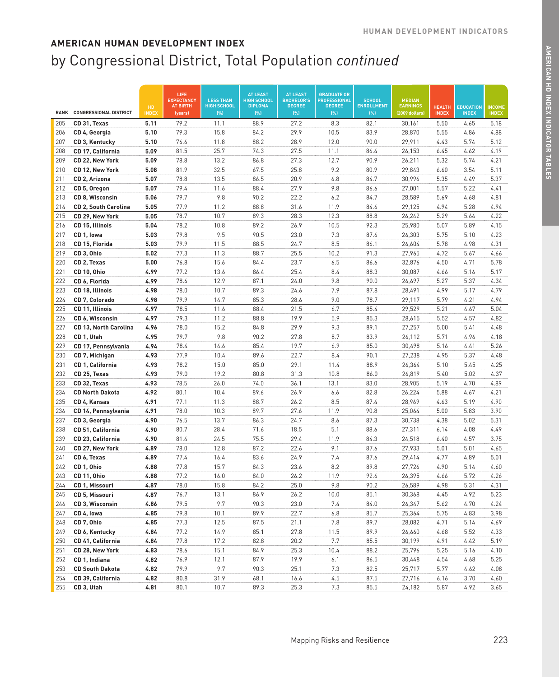|             |                                         |                    | LIFE<br><b>EXPECTANCY</b>  | <b>LESS THAN</b>           | <b>AT LEAST</b><br><b>HIGH SCHOOL</b> | <b>AT LEAST</b><br><b>BACHELOR'S</b> | <b>GRADUATE OR</b><br><b>PROFESSIONAL</b> | <b>SCHOOL</b>            | <b>MEDIAN</b>                     |                               |                                  |                               |
|-------------|-----------------------------------------|--------------------|----------------------------|----------------------------|---------------------------------------|--------------------------------------|-------------------------------------------|--------------------------|-----------------------------------|-------------------------------|----------------------------------|-------------------------------|
| <b>RANK</b> | <b>CONGRESSIONAL DISTRICT</b>           | HD<br><b>INDEX</b> | <b>AT BIRTH</b><br>(years) | <b>HIGH SCHOOL</b><br>(% ) | <b>DIPLOMA</b><br>(% )                | <b>DEGREE</b><br>[%]                 | <b>DEGREE</b><br>[%]                      | <b>ENROLLMENT</b><br>[%] | <b>EARNINGS</b><br>(2009 dollars) | <b>HEALTH</b><br><b>INDEX</b> | <b>EDUCATION</b><br><b>INDEX</b> | <b>INCOME</b><br><b>INDEX</b> |
| 205         | CD 31, Texas                            | 5.11               | 79.2                       | 11.1                       | 88.9                                  | 27.2                                 | 8.3                                       | 82.1                     | 30,161                            | 5.50                          | 4.65                             | 5.18                          |
| 206         | CD 4, Georgia                           | 5.10               | 79.3                       | 15.8                       | 84.2                                  | 29.9                                 | 10.5                                      | 83.9                     | 28,870                            | 5.55                          | 4.86                             | 4.88                          |
| 207         | CD 3, Kentucky                          | 5.10               | 76.6                       | 11.8                       | 88.2                                  | 28.9                                 | 12.0                                      | 90.0                     | 29,911                            | 4.43                          | 5.74                             | 5.12                          |
| 208         | CD 17, California                       | 5.09               | 81.5                       | 25.7                       | 74.3                                  | 27.5                                 | 11.1                                      | 86.4                     | 26,153                            | 6.45                          | 4.62                             | 4.19                          |
| 209         | CD 22, New York                         | 5.09               | 78.8                       | 13.2                       | 86.8                                  | 27.3                                 | 12.7                                      | 90.9                     | 26,211                            | 5.32                          | 5.74                             | 4.21                          |
| 210         | CD 12, New York                         | 5.08               | 81.9                       | 32.5                       | 67.5                                  | 25.8                                 | 9.2                                       | 80.9                     | 29,843                            | 6.60                          | 3.54                             | 5.11                          |
| 211         | CD 2, Arizona                           | 5.07               | 78.8                       | 13.5                       | 86.5                                  | 20.9                                 | 6.8                                       | 84.7                     | 30,996                            | 5.35                          | 4.49                             | 5.37                          |
| 212         | CD 5, Oregon                            | 5.07               | 79.4                       | 11.6                       | 88.4                                  | 27.9                                 | 9.8                                       | 86.6                     | 27,001                            | 5.57                          | 5.22                             | 4.41                          |
| 213         | <b>CD 8. Wisconsin</b>                  | 5.06               | 79.7                       | 9.8                        | 90.2                                  | 22.2                                 | 6.2                                       | 84.7                     | 28,589                            | 5.69                          | 4.68                             | 4.81                          |
| 214         | CD 2, South Carolina                    | 5.05               | 77.9                       | 11.2                       | 88.8                                  | 31.6                                 | 11.9                                      | 84.6                     | 29,125                            | 4.94                          | 5.28                             | 4.94                          |
| 215         | CD 29, New York                         | 5.05               | 78.7                       | 10.7                       | 89.3                                  | 28.3                                 | 12.3                                      | 88.8                     | 26,242                            | 5.29                          | 5.64                             | 4.22                          |
| 216         | CD 15, Illinois                         | 5.04               | 78.2                       | 10.8                       | 89.2                                  | 26.9                                 | 10.5                                      | 92.3                     | 25,980                            | 5.07                          | 5.89                             | 4.15                          |
| 217         | CD 1, Iowa                              | 5.03               | 79.8                       | 9.5                        | 90.5                                  | 23.0                                 | 7.3                                       | 87.6                     | 26,303                            | 5.75                          | 5.10                             | 4.23                          |
| 218         | CD 15, Florida                          | 5.03               | 79.9                       | 11.5                       | 88.5                                  | 24.7                                 | 8.5                                       | 86.1                     | 26,604                            | 5.78                          | 4.98                             | 4.31                          |
| 219         | CD 3, Ohio                              | 5.02               | 77.3                       | 11.3                       | 88.7                                  | 25.5                                 | 10.2                                      | 91.3                     | 27,965                            | 4.72                          | 5.67                             | 4.66                          |
| 220         | CD 2, Texas                             | 5.00               | 76.8                       | 15.6                       | 84.4                                  | 23.7                                 | 6.5                                       | 86.6                     | 32,876                            | 4.50                          | 4.71                             | 5.78                          |
| 221         | CD 10, Ohio                             | 4.99               | 77.2                       | 13.6                       | 86.4                                  | 25.4                                 | 8.4                                       | 88.3                     | 30,087                            | 4.66                          | 5.16                             | 5.17                          |
| 222         | CD 6, Florida                           | 4.99               | 78.6                       | 12.9                       | 87.1                                  | 24.0                                 | 9.8                                       | 90.0                     | 26,697                            | 5.27                          | 5.37                             | 4.34                          |
| 223         | CD 18. Illinois                         | 4.98               | 78.0                       | 10.7                       | 89.3                                  | 24.6                                 | 7.9                                       | 87.8                     | 28,491                            | 4.99                          | 5.17                             | 4.79                          |
| 224         | CD 7, Colorado                          | 4.98               | 79.9                       | 14.7                       | 85.3                                  | 28.6                                 | 9.0                                       | 78.7                     | 29,117                            | 5.79                          | 4.21                             | 4.94                          |
| 225         | CD 11, Illinois                         | 4.97               | 78.5                       | 11.6                       | 88.4                                  | 21.5                                 | 6.7                                       | 85.4                     | 29,529                            | 5.21                          | 4.67                             | 5.04                          |
| 226         | CD 6, Wisconsin                         | 4.97               | 79.3<br>78.0               | 11.2                       | 88.8                                  | 19.9                                 | 5.9                                       | 85.3                     | 28,615                            | 5.52                          | 4.57                             | 4.82                          |
| 227<br>228  | CD 13, North Carolina                   | 4.96<br>4.95       | 79.7                       | 15.2<br>9.8                | 84.8<br>90.2                          | 29.9<br>27.8                         | 9.3<br>8.7                                | 89.1<br>83.9             | 27,257                            | 5.00<br>5.71                  | 5.41<br>4.96                     | 4.48                          |
| 229         | CD 1, Utah<br>CD 17, Pennsylvania       | 4.94               | 78.4                       | 14.6                       | 85.4                                  | 19.7                                 | 6.9                                       | 85.0                     | 26,112<br>30,498                  | 5.16                          | 4.41                             | 4.18<br>5.26                  |
| 230         | CD 7, Michigan                          | 4.93               | 77.9                       | 10.4                       | 89.6                                  | 22.7                                 | 8.4                                       | 90.1                     | 27,238                            | 4.95                          | 5.37                             | 4.48                          |
| 231         | CD 1, California                        | 4.93               | 78.2                       | 15.0                       | 85.0                                  | 29.1                                 | 11.4                                      | 88.9                     | 26,364                            | 5.10                          | 5.45                             | 4.25                          |
| 232         | CD 25, Texas                            | 4.93               | 79.0                       | 19.2                       | 80.8                                  | 31.3                                 | 10.8                                      | 86.0                     | 26,819                            | 5.40                          | 5.02                             | 4.37                          |
| 233         | CD 32, Texas                            | 4.93               | 78.5                       | 26.0                       | 74.0                                  | 36.1                                 | 13.1                                      | 83.0                     | 28,905                            | 5.19                          | 4.70                             | 4.89                          |
| 234         | <b>CD North Dakota</b>                  | 4.92               | 80.1                       | 10.4                       | 89.6                                  | 26.9                                 | 6.6                                       | 82.8                     | 26,224                            | 5.88                          | 4.67                             | 4.21                          |
| 235         | CD 4, Kansas                            | 4.91               | 77.1                       | 11.3                       | 88.7                                  | 26.2                                 | 8.5                                       | 87.4                     | 28,969                            | 4.63                          | 5.19                             | 4.90                          |
| 236         | CD 14, Pennsylvania                     | 4.91               | 78.0                       | 10.3                       | 89.7                                  | 27.6                                 | 11.9                                      | 90.8                     | 25,064                            | 5.00                          | 5.83                             | 3.90                          |
| 237         | CD 3, Georgia                           | 4.90               | 76.5                       | 13.7                       | 86.3                                  | 24.7                                 | 8.6                                       | 87.3                     | 30,738                            | 4.38                          | 5.02                             | 5.31                          |
| 238         | CD 51, California                       | 4.90               | 80.7                       | 28.4                       | 71.6                                  | 18.5                                 | 5.1                                       | 88.6                     | 27,311                            | 6.14                          | 4.08                             | 4.49                          |
| 239         | CD 23, California                       | 4.90               | 81.4                       | 24.5                       | 75.5                                  | 29.4                                 | 11.9                                      | 84.3                     | 24,518                            | 6.40                          | 4.57                             | 3.75                          |
| 240         | CD 27, New York                         | 4.89               | 78.0                       | 12.8                       | 87.2                                  | 22.6                                 | 9.1                                       | 87.6                     | 27,933                            | 5.01                          | 5.01                             | 4.65                          |
| 241         | CD 6, Texas                             | 4.89               | 77.4                       | 16.4                       | 83.6                                  | 24.9                                 | 7.4                                       | 87.6                     | 29,414                            | 4.77                          | 4.89                             | 5.01                          |
| 242         | CD 1, Ohio                              | 4.88               | 77.8                       | 15.7                       | 84.3                                  | 23.6                                 | 8.2                                       | 89.8                     | 27,726                            | 4.90                          | 5.14                             | 4.60                          |
| 243         | CD 11, Ohio                             | 4.88               | 77.2                       | 16.0                       | 84.0                                  | 26.2                                 | 11.9                                      | 92.6                     | 26,395                            | 4.66                          | 5.72                             | 4.26                          |
| 244         | CD 1, Missouri                          | 4.87               | 78.0                       | 15.8                       | 84.2                                  | 25.0                                 | 9.8                                       | 90.2                     | 26,589                            | 4.98                          | 5.31                             | 4.31                          |
| 245         | CD 5, Missouri                          | 4.87               | 76.7                       | 13.1                       | 86.9                                  | 26.2                                 | 10.0                                      | 85.1                     | 30.368                            | 4.45                          | 4.92                             | 5.23                          |
| 246         | CD 3, Wisconsin                         | 4.86               | 79.5                       | 9.7                        | 90.3                                  | 23.0                                 | 7.4                                       | 84.0                     | 26,347                            | 5.62                          | 4.70                             | 4.24                          |
| 247         | CD 4, lowa                              | 4.85               | 79.8                       | 10.1                       | 89.9                                  | 22.7                                 | 6.8                                       | 85.7                     | 25,364                            | 5.75                          | 4.83                             | 3.98                          |
| 248         | CD 7, Ohio                              | 4.85               | 77.3                       | 12.5                       | 87.5                                  | 21.1                                 | 7.8                                       | 89.7                     | 28,082                            | 4.71                          | 5.14                             | 4.69                          |
| 249         | CD 6, Kentucky                          | 4.84               | 77.2                       | 14.9                       | 85.1                                  | 27.8                                 | 11.5                                      | 89.9                     | 26,660                            | 4.68                          | 5.52                             | 4.33                          |
| 250         | CD 41, California                       | 4.84               | 77.8                       | 17.2                       | 82.8                                  | 20.2                                 | 7.7                                       | 85.5                     | 30,199                            | 4.91                          | 4.42                             | 5.19                          |
| 251         | CD 28, New York                         | 4.83               | 78.6                       | 15.1                       | 84.9                                  | 25.3                                 | 10.4                                      | 88.2                     | 25,796                            | 5.25                          | 5.16                             | 4.10                          |
| 252         | CD 1, Indiana<br><b>CD South Dakota</b> | 4.82               | 76.9                       | 12.1                       | 87.9                                  | 19.9                                 | 6.1                                       | 86.5                     | 30,448                            | 4.54                          | 4.68                             | 5.25                          |
| 253<br>254  | CD 39, California                       | 4.82<br>4.82       | 79.9<br>80.8               | 9.7<br>31.9                | 90.3<br>68.1                          | 25.1<br>16.6                         | 7.3<br>4.5                                | 82.5<br>87.5             | 25,717<br>27,716                  | 5.77<br>6.16                  | 4.62<br>3.70                     | 4.08<br>4.60                  |
| 255         | CD 3, Utah                              | 4.81               | 80.1                       | 10.7                       | 89.3                                  | 25.3                                 | 7.3                                       | 85.5                     | 24,182                            | 5.87                          | 4.92                             | 3.65                          |
|             |                                         |                    |                            |                            |                                       |                                      |                                           |                          |                                   |                               |                                  |                               |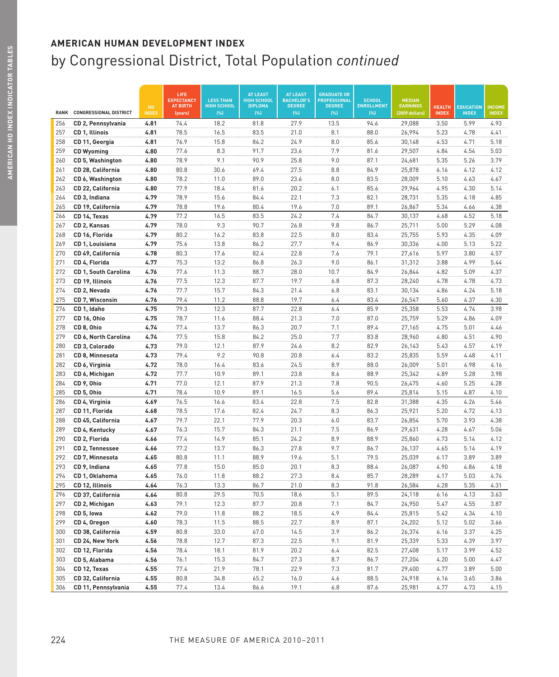|             |                                     | HD           | LIFE<br><b>EXPECTANCY</b><br><b>AT BIRTH</b> | <b>LESS THAN</b><br><b>HIGH SCHOOL</b> | <b>AT LEAST</b><br><b>HIGH SCHOOL</b><br><b>DIPLOMA</b> | <b>AT LEAST</b><br><b>BACHELOR'S</b><br><b>DEGREE</b> | <b>GRADUATE OR</b><br><b>PROFESSIONAL</b><br><b>DEGREE</b> | <b>SCHOOL</b><br><b>ENROLLMENT</b> | <b>MEDIAN</b><br><b>EARNINGS</b> | <b>HEALTH</b> | <b>EDUCATION</b> | <b>INCOME</b> |
|-------------|-------------------------------------|--------------|----------------------------------------------|----------------------------------------|---------------------------------------------------------|-------------------------------------------------------|------------------------------------------------------------|------------------------------------|----------------------------------|---------------|------------------|---------------|
| <b>RANK</b> | <b>CONGRESSIONAL DISTRICT</b>       | INDE)        | (years)                                      | (%)                                    | (% )                                                    | (% )                                                  | (%)                                                        | (% )                               | (2009 dollars)                   | <b>INDEX</b>  | <b>INDEX</b>     | <b>INDEX</b>  |
| 256         | CD 2, Pennsylvania                  | 4.81         | 74.4                                         | 18.2                                   | 81.8                                                    | 27.9                                                  | 13.5                                                       | 94.6                               | 29,088                           | 3.50          | 5.99             | 4.93          |
| 257         | CD 1, Illinois                      | 4.81         | 78.5                                         | 16.5                                   | 83.5                                                    | 21.0                                                  | 8.1                                                        | 88.0                               | 26,994                           | 5.23          | 4.78             | 4.41          |
| 258         | CD 11, Georgia                      | 4.81         | 76.9                                         | 15.8                                   | 84.2                                                    | 24.9                                                  | 8.0                                                        | 85.6                               | 30,148                           | 4.53          | 4.71             | 5.18          |
| 259         | <b>CD Wyoming</b>                   | 4.80         | 77.6                                         | 8.3                                    | 91.7                                                    | 23.6                                                  | 7.9                                                        | 81.6                               | 29,507                           | 4.84          | 4.54             | 5.03          |
| 260         | CD 5, Washington                    | 4.80         | 78.9                                         | 9.1                                    | 90.9                                                    | 25.8                                                  | 9.0                                                        | 87.1                               | 24,681                           | 5.35          | 5.26             | 3.79          |
| 261         | CD 28, California                   | 4.80         | 80.8                                         | 30.6                                   | 69.4                                                    | 27.5                                                  | 8.8                                                        | 84.9                               | 25,878                           | 6.16          | 4.12             | 4.12          |
| 262         | CD 6, Washington                    | 4.80         | 78.2                                         | 11.0                                   | 89.0                                                    | 23.6                                                  | 8.0                                                        | 83.5                               | 28,009                           | 5.10          | 4.63             | 4.67          |
| 263         | CD 22, California                   | 4.80         | 77.9                                         | 18.4                                   | 81.6                                                    | 20.2                                                  | 6.1                                                        | 85.6                               | 29,964                           | 4.95          | 4.30             | 5.14          |
| 264         | CD 3, Indiana                       | 4.79         | 78.9                                         | 15.6                                   | 84.4                                                    | 22.1                                                  | 7.3                                                        | 82.1                               | 28,731                           | 5.35          | 4.18             | 4.85          |
| 265         | CD 19, California                   | 4.79         | 78.8                                         | 19.6                                   | 80.4                                                    | 19.6                                                  | 7.0                                                        | 89.1                               | 26,867                           | 5.34          | 4.66             | 4.38          |
| 266         | CD 14, Texas                        | 4.79         | 77.2                                         | 16.5                                   | 83.5                                                    | 24.2                                                  | 7.4                                                        | 84.7                               | 30,137                           | 4.68          | 4.52             | 5.18          |
| 267         | CD 2, Kansas                        | 4.79         | 78.0                                         | 9.3                                    | 90.7                                                    | 26.8                                                  | 9.8                                                        | 86.7                               | 25,711                           | 5.00          | 5.29             | 4.08          |
| 268         | CD 16, Florida                      | 4.79         | 80.2                                         | 16.2                                   | 83.8                                                    | 22.5                                                  | 8.0                                                        | 83.4                               | 25,755                           | 5.93          | 4.35             | 4.09          |
| 269         | CD 1, Louisiana                     | 4.79         | 75.6                                         | 13.8                                   | 86.2                                                    | 27.7                                                  | 9.4                                                        | 86.9                               | 30,336                           | 4.00          | 5.13             | 5.22          |
| 270         | CD 49, California                   | 4.78         | 80.3                                         | 17.6                                   | 82.4                                                    | 22.8                                                  | 7.6                                                        | 79.1                               | 27,616                           | 5.97          | 3.80             | 4.57          |
| 271         | CD 4, Florida                       | 4.77         | 75.3                                         | 13.2                                   | 86.8                                                    | 26.3                                                  | 9.0                                                        | 86.1                               | 31,312                           | 3.88          | 4.99             | 5.44          |
| 272         | <b>CD 1, South Carolina</b>         | 4.76         | 77.6                                         | 11.3                                   | 88.7                                                    | 28.0                                                  | 10.7                                                       | 84.9                               | 26,844                           | 4.82          | 5.09             | 4.37          |
| 273         | CD 19, Illinois                     | 4.76         | 77.5                                         | 12.3                                   | 87.7                                                    | 19.7                                                  | 6.8                                                        | 87.3                               | 28,240                           | 4.78          | 4.78             | 4.73          |
| 274         | CD 2, Nevada                        | 4.76         | 77.7                                         | 15.7                                   | 84.3                                                    | 21.4                                                  | 6.8                                                        | 83.1                               | 30,134                           | 4.86          | 4.24             | 5.18          |
| 275         | CD 7, Wisconsin                     | 4.76         | 79.4                                         | 11.2                                   | 88.8                                                    | 19.7                                                  | 6.4                                                        | 83.4                               | 26,547                           | 5.60          | 4.37             | 4.30          |
| 276         | CD 1, Idaho                         | 4.75         | 79.3                                         | 12.3                                   | 87.7                                                    | 22.8                                                  | 6.4                                                        | 85.9                               | 25,358                           | 5.53          | 4.74             | 3.98          |
| 277         | CD 16, Ohio                         | 4.75         | 78.7                                         | 11.6                                   | 88.4                                                    | 21.3                                                  | 7.0                                                        | 87.0                               | 25,759                           | 5.29          | 4.86             | 4.09          |
| 278         | CD 8, Ohio                          | 4.74         | 77.4                                         | 13.7                                   | 86.3                                                    | 20.7                                                  | 7.1                                                        | 89.4                               | 27,165                           | 4.75          | 5.01             | 4.46          |
| 279         | CD 6, North Carolina                | 4.74         | 77.5                                         | 15.8                                   | 84.2                                                    | 25.0                                                  | 7.7                                                        | 83.8                               | 28,960                           | 4.80          | 4.51             | 4.90          |
| 280         | CD 3, Colorado                      | 4.73         | 79.0                                         | 12.1                                   | 87.9                                                    | 24.6                                                  | 8.2                                                        | 82.9                               | 26,143                           | 5.43          | 4.57             | 4.19          |
| 281         | CD 8, Minnesota                     | 4.73         | 79.4                                         | 9.2                                    | 90.8                                                    | 20.8                                                  | 6.4                                                        | 83.2                               | 25,835                           | 5.59          | 4.48             | 4.11          |
| 282         | CD 6, Virginia                      | 4.72         | 78.0                                         | 16.4                                   | 83.6                                                    | 24.5                                                  | 8.9                                                        | 88.0                               | 26,009                           | 5.01          | 4.98             | 4.16          |
| 283         | CD 6, Michigan                      | 4.72         | 77.7                                         | 10.9                                   | 89.1                                                    | 23.8                                                  | 8.6                                                        | 88.9                               | 25,342                           | 4.89          | 5.28             | 3.98          |
| 284         | CD 9, Ohio                          | 4.71         | 77.0                                         | 12.1                                   | 87.9                                                    | 21.3                                                  | 7.8                                                        | 90.5                               | 26,475                           | 4.60          | 5.25             | 4.28          |
| 285<br>286  | CD 5, Ohio                          | 4.71         | 78.4<br>76.5                                 | 10.9                                   | 89.1<br>83.4                                            | 16.5<br>22.8                                          | 5.6<br>7.5                                                 | 89.4<br>82.8                       | 25,814                           | 5.15          | 4.87<br>4.26     | 4.10<br>5.46  |
|             | CD 4, Virginia                      | 4.69         |                                              | 16.6                                   |                                                         |                                                       |                                                            |                                    | 31,388                           | 4.35          |                  |               |
| 287<br>288  | CD 11, Florida<br>CD 45, California | 4.68<br>4.67 | 78.5<br>79.7                                 | 17.6<br>22.1                           | 82.4<br>77.9                                            | 24.7<br>20.3                                          | 8.3<br>6.0                                                 | 86.3<br>83.7                       | 25,921<br>26,854                 | 5.20<br>5.70  | 4.72<br>3.93     | 4.13<br>4.38  |
| 289         | CD 4, Kentucky                      | 4.67         | 76.3                                         | 15.7                                   | 84.3                                                    | 21.1                                                  | 7.5                                                        | 86.9                               | 29,631                           | 4.28          | 4.67             | 5.06          |
| 290         | CD 2, Florida                       | 4.66         | 77.4                                         | 14.9                                   | 85.1                                                    | 24.2                                                  | 8.9                                                        | 88.9                               | 25,860                           | 4.73          | 5.14             | 4.12          |
| 291         | CD 2, Tennessee                     | 4.66         | 77.2                                         | 13.7                                   | 86.3                                                    | 27.8                                                  | 9.7                                                        | 86.7                               | 26,137                           | 4.65          | 5.14             | 4.19          |
| 292         | CD 7, Minnesota                     | 4.65         | 80.8                                         | 11.1                                   | 88.9                                                    | 19.6                                                  | 5.1                                                        | 79.5                               | 25,039                           | 6.17          | 3.89             | 3.89          |
| 293         | CD 9, Indiana                       | 4.65         | 77.8                                         | 15.0                                   | 85.0                                                    | 20.1                                                  | 8.3                                                        | 88.4                               | 26,087                           | 4.90          | 4.86             | 4.18          |
| 294         | CD 1, Oklahoma                      | 4.65         | 76.0                                         | 11.8                                   | 88.2                                                    | 27.3                                                  | 8.4                                                        | 85.7                               | 28,289                           | 4.17          | 5.03             | 4.74          |
| 295         | CD 12, Illinois                     | 4.64         | 76.3                                         | 13.3                                   | 86.7                                                    | 21.0                                                  | 8.3                                                        | 91.8                               | 26,584                           | 4.28          | 5.35             | 4.31          |
| 296         | CD 37, California                   | 4.64         | 80.8                                         | 29.5                                   | 70.5                                                    | 18.6                                                  | 5.1                                                        | 89.5                               | 24,118                           | 6.16          | 4.13             | 3.63          |
| 297         | CD 2, Michigan                      | 4.63         | 79.1                                         | 12.3                                   | 87.7                                                    | 20.8                                                  | 7.1                                                        | 84.7                               | 24,950                           | 5.47          | 4.55             | 3.87          |
| 298         | CD 5, lowa                          | 4.62         | 79.0                                         | 11.8                                   | 88.2                                                    | 18.5                                                  | 4.9                                                        | 84.4                               | 25,815                           | 5.42          | 4.34             | 4.10          |
| 299         | CD 4, Oregon                        | 4.60         | 78.3                                         | 11.5                                   | 88.5                                                    | 22.7                                                  | 8.9                                                        | 87.1                               | 24,202                           | 5.12          | 5.02             | 3.66          |
| 300         | CD 38, California                   | 4.59         | 80.8                                         | 33.0                                   | 67.0                                                    | 14.5                                                  | 3.9                                                        | 86.2                               | 26,374                           | 6.16          | 3.37             | 4.25          |
| 301         | CD 24, New York                     | 4.56         | 78.8                                         | 12.7                                   | 87.3                                                    | 22.5                                                  | 9.1                                                        | 81.9                               | 25,339                           | 5.33          | 4.39             | 3.97          |
| 302         | CD 12, Florida                      | 4.56         | 78.4                                         | 18.1                                   | 81.9                                                    | 20.2                                                  | 6.4                                                        | 82.5                               | 27,408                           | 5.17          | 3.99             | 4.52          |
| 303         | CD 5, Alabama                       | 4.56         | 76.1                                         | 15.3                                   | 84.7                                                    | 27.3                                                  | 8.7                                                        | 86.7                               | 27,204                           | 4.20          | 5.00             | 4.47          |
| 304         | CD 12, Texas                        | 4.55         | 77.4                                         | 21.9                                   | 78.1                                                    | 22.9                                                  | 7.3                                                        | 81.7                               | 29,400                           | 4.77          | 3.89             | 5.00          |
| 305         | CD 32, California                   | 4.55         | 80.8                                         | 34.8                                   | 65.2                                                    | 16.0                                                  | 4.6                                                        | 88.5                               | 24,918                           | 6.16          | 3.65             | 3.86          |
| 306         | CD 11, Pennsylvania                 | 4.55         | 77.4                                         | 13.4                                   | 86.6                                                    | 19.1                                                  | 6.8                                                        | 87.6                               | 25,981                           | 4.77          | 4.73             | 4.15          |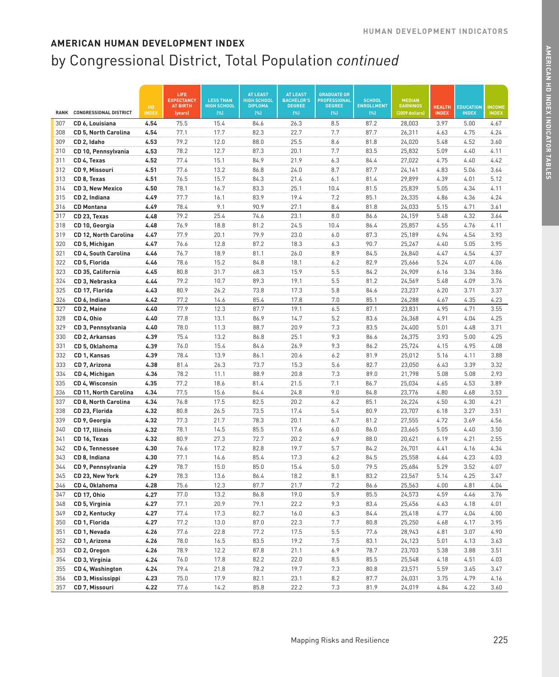|             |                                        |                    | LIFE<br><b>EXPECTANCY</b>  | <b>LESS THAN</b>           | <b>AT LEAST</b><br><b>HIGH SCHOOL</b> | <b>AT LEAST</b><br><b>BACHELOR'S</b> | <b>GRADUATE OR</b><br><b>PROFESSIONAL</b> | <b>SCHOOL</b>            | <b>MEDIAN</b>                     |                               |                                  |                               |
|-------------|----------------------------------------|--------------------|----------------------------|----------------------------|---------------------------------------|--------------------------------------|-------------------------------------------|--------------------------|-----------------------------------|-------------------------------|----------------------------------|-------------------------------|
| <b>RANK</b> | <b>CONGRESSIONAL DISTRICT</b>          | HD<br><b>INDEX</b> | <b>AT BIRTH</b><br>(years) | <b>HIGH SCHOOL</b><br>(% ) | <b>DIPLOMA</b><br>(% )                | <b>DEGREE</b><br>[%]                 | <b>DEGREE</b><br>[%]                      | <b>ENROLLMENT</b><br>(%) | <b>EARNINGS</b><br>(2009 dollars) | <b>HEALTH</b><br><b>INDEX</b> | <b>EDUCATION</b><br><b>INDEX</b> | <b>INCOME</b><br><b>INDEX</b> |
| 307         | CD 6, Louisiana                        | 4.54               | 75.5                       | 15.4                       | 84.6                                  | 26.3                                 | 8.5                                       | 87.2                     | 28,003                            | 3.97                          | 5.00                             | 4.67                          |
| 308         | <b>CD 5, North Carolina</b>            | 4.54               | 77.1                       | 17.7                       | 82.3                                  | 22.7                                 | 7.7                                       | 87.7                     | 26,311                            | 4.63                          | 4.75                             | 4.24                          |
| 309         | CD 2, Idaho                            | 4.53               | 79.2                       | 12.0                       | 88.0                                  | 25.5                                 | 8.6                                       | 81.8                     | 24,020                            | 5.48                          | 4.52                             | 3.60                          |
| 310         | CD 10, Pennsylvania                    | 4.53               | 78.2                       | 12.7                       | 87.3                                  | 20.1                                 | 7.7                                       | 83.5                     | 25,832                            | 5.09                          | 4.40                             | 4.11                          |
| 311         | CD 4, Texas                            | 4.52               | 77.4                       | 15.1                       | 84.9                                  | 21.9                                 | 6.3                                       | 84.4                     | 27,022                            | 4.75                          | 4.40                             | 4.42                          |
| 312         | CD 9, Missouri                         | 4.51               | 77.6                       | 13.2                       | 86.8                                  | 24.0                                 | 8.7                                       | 87.7                     | 24,141                            | 4.83                          | 5.06                             | 3.64                          |
| 313         | CD 8, Texas                            | 4.51               | 76.5                       | 15.7                       | 84.3                                  | 21.4                                 | 6.1                                       | 81.4                     | 29,899                            | 4.39                          | 4.01                             | 5.12                          |
| 314         | <b>CD 3, New Mexico</b>                | 4.50               | 78.1                       | 16.7                       | 83.3                                  | 25.1                                 | 10.4                                      | 81.5                     | 25,839                            | 5.05                          | 4.34                             | 4.11                          |
| 315         | CD 2, Indiana                          | 4.49               | 77.7                       | 16.1                       | 83.9                                  | 19.4                                 | 7.2                                       | 85.1                     | 26,335                            | 4.86                          | 4.36                             | 4.24                          |
| 316         | <b>CD Montana</b>                      | 4.49               | 78.4                       | 9.1                        | 90.9                                  | 27.1                                 | 8.4                                       | 81.8                     | 24,033                            | 5.15                          | 4.71                             | 3.61                          |
| 317         | CD 23, Texas                           | 4.48               | 79.2                       | 25.4                       | 74.6                                  | 23.1                                 | 8.0                                       | 86.6                     | 24,159                            | 5.48                          | 4.32                             | 3.64                          |
| 318         | CD 10, Georgia                         | 4.48               | 76.9                       | 18.8                       | 81.2                                  | 24.5                                 | 10.4                                      | 86.4                     | 25,857                            | 4.55                          | 4.76                             | 4.11                          |
| 319         | CD 12, North Carolina                  | 4.47               | 77.9                       | 20.1                       | 79.9                                  | 23.0                                 | 6.0                                       | 87.3                     | 25,189                            | 4.94                          | 4.54                             | 3.93                          |
| 320         | CD 5, Michigan                         | 4.47               | 76.6                       | 12.8                       | 87.2                                  | 18.3                                 | 6.3                                       | 90.7                     | 25,267                            | 4.40                          | 5.05                             | 3.95                          |
| 321         | <b>CD 4, South Carolina</b>            | 4.46               | 76.7                       | 18.9                       | 81.1                                  | 26.0                                 | 8.9                                       | 84.5                     | 26,840                            | 4.47                          | 4.54                             | 4.37                          |
| 322         | CD 5, Florida                          | 4.46               | 78.6                       | 15.2                       | 84.8                                  | 18.1                                 | 6.2                                       | 82.9                     | 25,666                            | 5.24                          | 4.07                             | 4.06                          |
| 323         | CD 35, California                      | 4.45               | 80.8                       | 31.7                       | 68.3                                  | 15.9                                 | 5.5                                       | 84.2                     | 24,909                            | 6.16                          | 3.34                             | 3.86                          |
| 324         | CD 3, Nebraska                         | 4.44               | 79.2                       | 10.7                       | 89.3                                  | 19.1                                 | 5.5                                       | 81.2                     | 24,569                            | 5.48                          | 4.09                             | 3.76                          |
| 325         | CD 17, Florida                         | 4.43               | 80.9                       | 26.2                       | 73.8                                  | 17.3                                 | 5.8                                       | 84.6                     | 23,237                            | 6.20                          | 3.71                             | 3.37                          |
| 326         | CD 6, Indiana                          | 4.42               | 77.2                       | 14.6                       | 85.4                                  | 17.8                                 | 7.0                                       | 85.1                     | 26,288                            | 4.67                          | 4.35                             | 4.23                          |
| 327         | CD 2, Maine                            | 4.40               | 77.9                       | 12.3                       | 87.7                                  | 19.1                                 | 6.5                                       | 87.1                     | 23,831                            | 4.95                          | 4.71                             | 3.55                          |
| 328         | CD 4, Ohio                             | 4.40               | 77.8                       | 13.1                       | 86.9                                  | 14.7                                 | 5.2                                       | 83.6                     | 26,368                            | 4.91                          | 4.04                             | 4.25                          |
| 329         | CD 3, Pennsylvania                     | 4.40               | 78.0                       | 11.3                       | 88.7                                  | 20.9                                 | 7.3                                       | 83.5                     | 24,400                            | 5.01                          | 4.48                             | 3.71                          |
| 330         | CD 2, Arkansas                         | 4.39               | 75.4                       | 13.2                       | 86.8                                  | 25.1                                 | 9.3                                       | 86.6                     | 26,375                            | 3.93                          | 5.00                             | 4.25                          |
| 331         | CD 5, Oklahoma                         | 4.39               | 76.0                       | 15.4                       | 84.6                                  | 26.9                                 | 9.3                                       | 86.2                     | 25,724                            | 4.15                          | 4.95                             | 4.08                          |
| 332         | CD 1, Kansas                           | 4.39               | 78.4                       | 13.9                       | 86.1                                  | 20.6                                 | 6.2                                       | 81.9                     | 25,012                            | 5.16                          | 4.11                             | 3.88                          |
| 333         | CD 7, Arizona                          | 4.38               | 81.4                       | 26.3                       | 73.7                                  | 15.3                                 | 5.6                                       | 82.7                     | 23,050                            | 6.43                          | 3.39                             | 3.32                          |
| 334         | CD 4, Michigan                         | 4.36               | 78.2                       | 11.1                       | 88.9                                  | 20.8                                 | 7.3                                       | 89.0                     | 21,798                            | 5.08                          | 5.08                             | 2.93                          |
| 335         | CD 4, Wisconsin                        | 4.35               | 77.2                       | 18.6                       | 81.4                                  | 21.5                                 | 7.1                                       | 86.7                     | 25,034                            | 4.65                          | 4.53                             | 3.89                          |
| 336         | CD 11, North Carolina                  | 4.34               | 77.5                       | 15.6                       | 84.4                                  | 24.8                                 | 9.0<br>6.2                                | 84.8                     | 23,776                            | 4.80                          | 4.68                             | 3.53                          |
| 337<br>338  | CD 8, North Carolina<br>CD 23, Florida | 4.34<br>4.32       | 76.8<br>80.8               | 17.5<br>26.5               | 82.5<br>73.5                          | 20.2<br>17.4                         | 5.4                                       | 85.1<br>80.9             | 26,224<br>23,707                  | 4.50<br>6.18                  | 4.30<br>3.27                     | 4.21<br>3.51                  |
| 339         | CD 9, Georgia                          | 4.32               | 77.3                       | 21.7                       | 78.3                                  | 20.1                                 | 6.7                                       | 81.2                     | 27,555                            | 4.72                          | 3.69                             | 4.56                          |
| 340         | CD 17, Illinois                        | 4.32               | 78.1                       | 14.5                       | 85.5                                  | 17.6                                 | 6.0                                       | 86.0                     | 23,665                            | 5.05                          | 4.40                             | 3.50                          |
| 341         | CD 16, Texas                           | 4.32               | 80.9                       | 27.3                       | 72.7                                  | 20.2                                 | 6.9                                       | 88.0                     | 20,621                            | 6.19                          | 4.21                             | 2.55                          |
| 342         | CD 6, Tennessee                        | 4.30               | 76.6                       | 17.2                       | 82.8                                  | 19.7                                 | 5.7                                       | 84.2                     | 26,701                            | 4.41                          | 4.16                             | 4.34                          |
| 343         | CD 8, Indiana                          | 4.30               | 77.1                       | 14.6                       | 85.4                                  | 17.3                                 | 6.2                                       | 84.5                     | 25,558                            | 4.64                          | 4.23                             | 4.03                          |
| 344         | CD 9, Pennsylvania                     | 4.29               | 78.7                       | 15.0                       | 85.0                                  | 15.4                                 | 5.0                                       | 79.5                     | 25,684                            | 5.29                          | 3.52                             | 4.07                          |
| 345         | CD 23, New York                        | 4.29               | 78.3                       | 13.6                       | 86.4                                  | 18.2                                 | 8.1                                       | 83.2                     | 23,567                            | 5.14                          | 4.25                             | 3.47                          |
| 346         | CD 4, Oklahoma                         | 4.28               | 75.6                       | 12.3                       | 87.7                                  | 21.7                                 | 7.2                                       | 86.6                     | 25,563                            | 4.00                          | 4.81                             | 4.04                          |
| 347         | CD 17, Ohio                            | 4.27               | 77.0                       | 13.2                       | 86.8                                  | 19.0                                 | 5.9                                       | 85.5                     | 24,573                            | 4.59                          | 4.46                             | 3.76                          |
| 348         | CD 5, Virginia                         | 4.27               | 77.1                       | 20.9                       | 79.1                                  | 22.2                                 | 9.3                                       | 83.4                     | 25,456                            | 4.63                          | 4.18                             | 4.01                          |
| 349         | CD 2, Kentucky                         | 4.27               | 77.4                       | 17.3                       | 82.7                                  | 16.0                                 | 6.3                                       | 84.4                     | 25,418                            | 4.77                          | 4.04                             | 4.00                          |
| 350         | CD 1, Florida                          | 4.27               | 77.2                       | 13.0                       | 87.0                                  | 22.3                                 | 7.7                                       | 80.8                     | 25,250                            | 4.68                          | 4.17                             | 3.95                          |
| 351         | CD 1, Nevada                           | 4.26               | 77.6                       | 22.8                       | 77.2                                  | 17.5                                 | 5.5                                       | 77.6                     | 28,943                            | 4.81                          | 3.07                             | 4.90                          |
| 352         | CD 1, Arizona                          | 4.26               | 78.0                       | 16.5                       | 83.5                                  | 19.2                                 | 7.5                                       | 83.1                     | 24,123                            | 5.01                          | 4.13                             | 3.63                          |
| 353         | CD 2, Oregon                           | 4.26               | 78.9                       | 12.2                       | 87.8                                  | 21.1                                 | 6.9                                       | 78.7                     | 23,703                            | 5.38                          | 3.88                             | 3.51                          |
| 354         | CD 3, Virginia                         | 4.24               | 76.0                       | 17.8                       | 82.2                                  | 22.0                                 | 8.5                                       | 85.5                     | 25,548                            | 4.18                          | 4.51                             | 4.03                          |
| 355         | CD 4, Washington                       | 4.24               | 79.4                       | 21.8                       | 78.2                                  | 19.7                                 | 7.3                                       | 80.8                     | 23,571                            | 5.59                          | 3.65                             | 3.47                          |
| 356         | CD 3, Mississippi                      | 4.23               | 75.0                       | 17.9                       | 82.1                                  | 23.1                                 | 8.2                                       | 87.7                     | 26,031                            | 3.75                          | 4.79                             | 4.16                          |
| 357         | CD 7, Missouri                         | 4.22               | 77.6                       | 14.2                       | 85.8                                  | 22.2                                 | 7.3                                       | 81.9                     | 24,019                            | 4.84                          | 4.22                             | 3.60                          |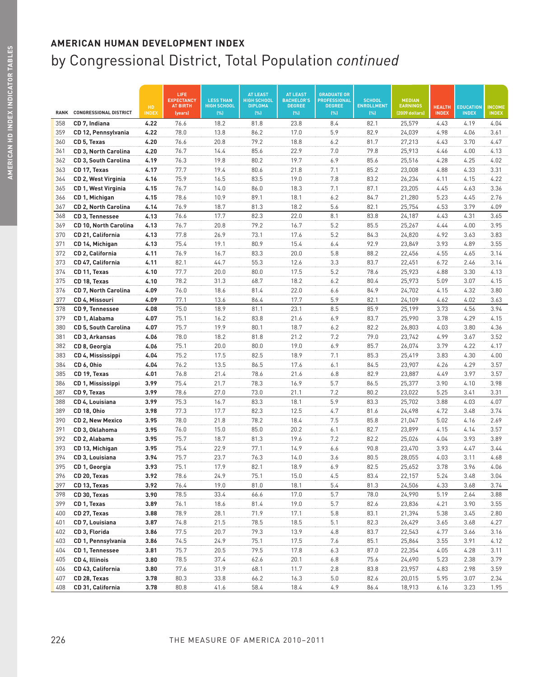|             |                               |                     | LIFE<br><b>EXPECTANCY</b><br><b>AT BIRTH</b> | <b>LESS THAN</b><br><b>HIGH SCHOOL</b> | <b>AT LEAST</b><br><b>HIGH SCHOOL</b><br><b>DIPLOMA</b> | <b>AT LEAST</b><br><b>BACHELOR'S</b><br><b>DEGREE</b> | <b>GRADUATE OR</b><br><b>PROFESSIONAL</b><br><b>DEGREE</b> | <b>SCHOOL</b><br><b>ENROLLMENT</b> | <b>MEDIAN</b><br><b>EARNINGS</b> |                               |                                  |                               |
|-------------|-------------------------------|---------------------|----------------------------------------------|----------------------------------------|---------------------------------------------------------|-------------------------------------------------------|------------------------------------------------------------|------------------------------------|----------------------------------|-------------------------------|----------------------------------|-------------------------------|
| <b>RANK</b> | <b>CONGRESSIONAL DISTRICT</b> | HD.<br><b>INDEX</b> | (years)                                      | [%]                                    | (%)                                                     | (%)                                                   | (%)                                                        | (% )                               | (2009 dollars)                   | <b>HEALTH</b><br><b>INDEX</b> | <b>EDUCATION</b><br><b>INDEX</b> | <b>INCOME</b><br><b>INDEX</b> |
| 358         | CD 7, Indiana                 | 4.22                | 76.6                                         | 18.2                                   | 81.8                                                    | 23.8                                                  | 8.4                                                        | 82.1                               | 25,579                           | 4.43                          | 4.19                             | 4.04                          |
| 359         | CD 12, Pennsylvania           | 4.22                | 78.0                                         | 13.8                                   | 86.2                                                    | 17.0                                                  | 5.9                                                        | 82.9                               | 24,039                           | 4.98                          | 4.06                             | 3.61                          |
| 360         | CD 5, Texas                   | 4.20                | 76.6                                         | 20.8                                   | 79.2                                                    | 18.8                                                  | 6.2                                                        | 81.7                               | 27,213                           | 4.43                          | 3.70                             | 4.47                          |
| 361         | CD 3, North Carolina          | 4.20                | 76.7                                         | 14.4                                   | 85.6                                                    | 22.9                                                  | 7.0                                                        | 79.8                               | 25,913                           | 4.46                          | 4.00                             | 4.13                          |
| 362         | CD 3, South Carolina          | 4.19                | 76.3                                         | 19.8                                   | 80.2                                                    | 19.7                                                  | 6.9                                                        | 85.6                               | 25,516                           | 4.28                          | 4.25                             | 4.02                          |
| 363         | CD 17, Texas                  | 4.17                | 77.7                                         | 19.4                                   | 80.6                                                    | 21.8                                                  | 7.1                                                        | 85.2                               | 23,008                           | 4.88                          | 4.33                             | 3.31                          |
| 364         | CD 2, West Virginia           | 4.16                | 75.9                                         | 16.5                                   | 83.5                                                    | 19.0                                                  | 7.8                                                        | 83.2                               | 26,234                           | 4.11                          | 4.15                             | 4.22                          |
| 365         | CD 1, West Virginia           | 4.15                | 76.7                                         | 14.0                                   | 86.0                                                    | 18.3                                                  | 7.1                                                        | 87.1                               | 23,205                           | 4.45                          | 4.63                             | 3.36                          |
| 366         | CD 1, Michigan                | 4.15                | 78.6                                         | 10.9                                   | 89.1                                                    | 18.1                                                  | 6.2                                                        | 84.7                               | 21,280                           | 5.23                          | 4.45                             | 2.76                          |
| 367         | CD 2, North Carolina          | 4.14                | 76.9                                         | 18.7                                   | 81.3                                                    | 18.2                                                  | 5.6                                                        | 82.1                               | 25,754                           | 4.53                          | 3.79                             | 4.09                          |
| 368         | CD 3, Tennessee               | 4.13                | 76.6                                         | 17.7                                   | 82.3                                                    | 22.0                                                  | 8.1                                                        | 83.8                               | 24,187                           | 4.43                          | 4.31                             | 3.65                          |
| 369         | CD 10, North Carolina         | 4.13                | 76.7                                         | 20.8                                   | 79.2                                                    | 16.7                                                  | 5.2                                                        | 85.5                               | 25,267                           | 4.44                          | 4.00                             | 3.95                          |
| 370         | CD 21, California             | 4.13                | 77.8                                         | 26.9                                   | 73.1                                                    | 17.6                                                  | 5.2                                                        | 84.3                               | 24,820                           | 4.92                          | 3.63                             | 3.83                          |
| 371         | CD 14, Michigan               | 4.13                | 75.4                                         | 19.1                                   | 80.9                                                    | 15.4                                                  | 6.4                                                        | 92.9                               | 23,849                           | 3.93                          | 4.89                             | 3.55                          |
| 372         | CD 2, California              | 4.11                | 76.9                                         | 16.7                                   | 83.3                                                    | 20.0                                                  | 5.8                                                        | 88.2                               | 22,456                           | 4.55                          | 4.65                             | 3.14                          |
| 373         | CD 47, California             | 4.11                | 82.1                                         | 44.7                                   | 55.3                                                    | 12.6                                                  | 3.3                                                        | 83.7                               | 22,451                           | 6.72                          | 2.46                             | 3.14                          |
| 374         | CD 11, Texas                  | 4.10                | 77.7                                         | 20.0                                   | 80.0                                                    | 17.5                                                  | 5.2                                                        | 78.6                               | 25,923                           | 4.88                          | 3.30                             | 4.13                          |
| 375         | CD 18, Texas                  | 4.10                | 78.2                                         | 31.3                                   | 68.7                                                    | 18.2                                                  | 6.2                                                        | 80.4                               | 25,973                           | 5.09                          | 3.07                             | 4.15                          |
| 376         | CD 7, North Carolina          | 4.09                | 76.0                                         | 18.6                                   | 81.4                                                    | 22.0                                                  | 6.6                                                        | 84.9                               | 24,702                           | 4.15                          | 4.32                             | 3.80                          |
| 377         | CD 4, Missouri                | 4.09                | 77.1                                         | 13.6                                   | 86.4                                                    | 17.7                                                  | 5.9                                                        | 82.1                               | 24,109                           | 4.62                          | 4.02                             | 3.63                          |
| 378         | CD 9, Tennessee               | 4.08                | 75.0                                         | 18.9                                   | 81.1                                                    | 23.1                                                  | 8.5                                                        | 85.9                               | 25,199                           | 3.73                          | 4.56                             | 3.94                          |
| 379         | CD 1, Alabama                 | 4.07                | 75.1                                         | 16.2                                   | 83.8                                                    | 21.6                                                  | 6.9                                                        | 83.7                               | 25,990                           | 3.78                          | 4.29                             | 4.15                          |
| 380         | CD 5, South Carolina          | 4.07                | 75.7                                         | 19.9                                   | 80.1                                                    | 18.7                                                  | 6.2                                                        | 82.2                               | 26,803                           | 4.03                          | 3.80                             | 4.36                          |
| 381         | CD 3, Arkansas                | 4.06                | 78.0                                         | 18.2                                   | 81.8                                                    | 21.2                                                  | 7.2                                                        | 79.0                               | 23,742                           | 4.99                          | 3.67                             | 3.52                          |
| 382         | CD 8, Georgia                 | 4.06                | 75.1                                         | 20.0                                   | 80.0                                                    | 19.0                                                  | 6.9                                                        | 85.7                               | 26,074                           | 3.79                          | 4.22                             | 4.17                          |
| 383         | CD 4, Mississippi             | 4.04                | 75.2                                         | 17.5                                   | 82.5                                                    | 18.9                                                  | 7.1                                                        | 85.3                               | 25,419                           | 3.83                          | 4.30                             | 4.00                          |
| 384         | CD 6, Ohio                    | 4.04                | 76.2                                         | 13.5                                   | 86.5                                                    | 17.6                                                  | 6.1                                                        | 84.5                               | 23,907                           | 4.26                          | 4.29                             | 3.57                          |
| 385         | CD 19, Texas                  | 4.01                | 76.8                                         | 21.4                                   | 78.6                                                    | 21.6                                                  | 6.8                                                        | 82.9                               | 23,887                           | 4.49                          | 3.97                             | 3.57                          |
| 386         | CD 1, Mississippi             | 3.99                | 75.4                                         | 21.7                                   | 78.3                                                    | 16.9                                                  | 5.7                                                        | 86.5                               | 25,377                           | 3.90                          | 4.10                             | 3.98                          |
| 387         | CD 9, Texas                   | 3.99                | 78.6                                         | 27.0                                   | 73.0                                                    | 21.1                                                  | 7.2                                                        | 80.2                               | 23,022                           | 5.25                          | 3.41                             | 3.31                          |
| 388         | CD 4, Louisiana               | 3.99                | 75.3                                         | 16.7                                   | 83.3                                                    | 18.1                                                  | 5.9                                                        | 83.3                               | 25,702                           | 3.88                          | 4.03                             | 4.07                          |
| 389         | CD 18, Ohio                   | 3.98                | 77.3                                         | 17.7                                   | 82.3                                                    | 12.5                                                  | 4.7                                                        | 81.6                               | 24,498                           | 4.72                          | 3.48                             | 3.74                          |
| 390         | <b>CD 2, New Mexico</b>       | 3.95                | 78.0                                         | 21.8                                   | 78.2                                                    | 18.4                                                  | 7.5                                                        | 85.8                               | 21,047                           | 5.02                          | 4.16                             | 2.69                          |
| 391         | CD 3, Oklahoma                | 3.95                | 76.0                                         | 15.0                                   | 85.0                                                    | 20.2                                                  | 6.1                                                        | 82.7                               | 23,899                           | 4.15                          | 4.14                             | 3.57                          |
| 392         | CD 2, Alabama                 | 3.95                | 75.7                                         | 18.7                                   | 81.3                                                    | 19.6                                                  | 7.2                                                        | 82.2                               | 25,026                           | 4.04                          | 3.93                             | 3.89                          |
| 393         | CD 13, Michigan               | 3.95                | 75.4                                         | 22.9                                   | 77.1                                                    | 14.9                                                  | 6.6                                                        | 90.8                               | 23,470                           | 3.93                          | 4.47                             | 3.44                          |
| 394         | CD 3, Louisiana               | 3.94<br>3.93        | 75.7<br>75.1                                 | 23.7<br>17.9                           | 76.3<br>82.1                                            | 14.0<br>18.9                                          | 3.6<br>6.9                                                 | 80.5<br>82.5                       | 28,055                           | 4.03<br>3.78                  | 3.11<br>3.96                     | 4.68                          |
| 395<br>396  | CD 1, Georgia                 | 3.92                | 78.6                                         | 24.9                                   |                                                         |                                                       |                                                            |                                    | 25,652                           |                               | 3.48                             | 4.06<br>3.04                  |
| 397         | CD 20, Texas                  | 3.92                | 76.4                                         | 19.0                                   | 75.1<br>81.0                                            | 15.0<br>18.1                                          | 4.5<br>5.4                                                 | 83.4<br>81.3                       | 22,157                           | 5.24<br>4.33                  | 3.68                             | 3.74                          |
| 398         | CD 13, Texas<br>CD 30, Texas  | 3.90                | 78.5                                         | 33.4                                   | 66.6                                                    | 17.0                                                  | 5.7                                                        | 78.0                               | 24,506<br>24,990                 | 5.19                          | 2.64                             | 3.88                          |
| 399         | CD 1, Texas                   | 3.89                | 76.1                                         | 18.6                                   | 81.4                                                    | 19.0                                                  | 5.7                                                        | 82.6                               | 23,836                           | 4.21                          | 3.90                             | 3.55                          |
| 400         | CD 27, Texas                  | 3.88                | 78.9                                         | 28.1                                   | 71.9                                                    | 17.1                                                  | 5.8                                                        | 83.1                               | 21,394                           | 5.38                          | 3.45                             | 2.80                          |
| 401         | CD 7, Louisiana               | 3.87                | 74.8                                         | 21.5                                   | 78.5                                                    | 18.5                                                  | 5.1                                                        | 82.3                               | 26,429                           | 3.65                          | 3.68                             | 4.27                          |
| 402         | CD 3, Florida                 | 3.86                | 77.5                                         | 20.7                                   | 79.3                                                    | 13.9                                                  | 4.8                                                        | 83.7                               | 22,543                           | 4.77                          | 3.66                             | 3.16                          |
| 403         | CD 1, Pennsylvania            | 3.86                | 74.5                                         | 24.9                                   | 75.1                                                    | 17.5                                                  | 7.6                                                        | 85.1                               | 25,864                           | 3.55                          | 3.91                             | 4.12                          |
| 404         | CD 1, Tennessee               | 3.81                | 75.7                                         | 20.5                                   | 79.5                                                    | 17.8                                                  | 6.3                                                        | 87.0                               | 22,354                           | 4.05                          | 4.28                             | 3.11                          |
| 405         | CD 4, Illinois                | 3.80                | 78.5                                         | 37.4                                   | 62.6                                                    | 20.1                                                  | 6.8                                                        | 75.6                               | 24,690                           | 5.23                          | 2.38                             | 3.79                          |
| 406         | CD 43, California             | 3.80                | 77.6                                         | 31.9                                   | 68.1                                                    | 11.7                                                  | 2.8                                                        | 83.8                               | 23,957                           | 4.83                          | 2.98                             | 3.59                          |
| 407         | CD 28, Texas                  | 3.78                | 80.3                                         | 33.8                                   | 66.2                                                    | 16.3                                                  | 5.0                                                        | 82.6                               | 20,015                           | 5.95                          | 3.07                             | 2.34                          |
| 408         | CD 31, California             | 3.78                | 80.8                                         | 41.6                                   | 58.4                                                    | 18.4                                                  | 4.9                                                        | 86.4                               | 18,913                           | 6.16                          | 3.23                             | 1.95                          |